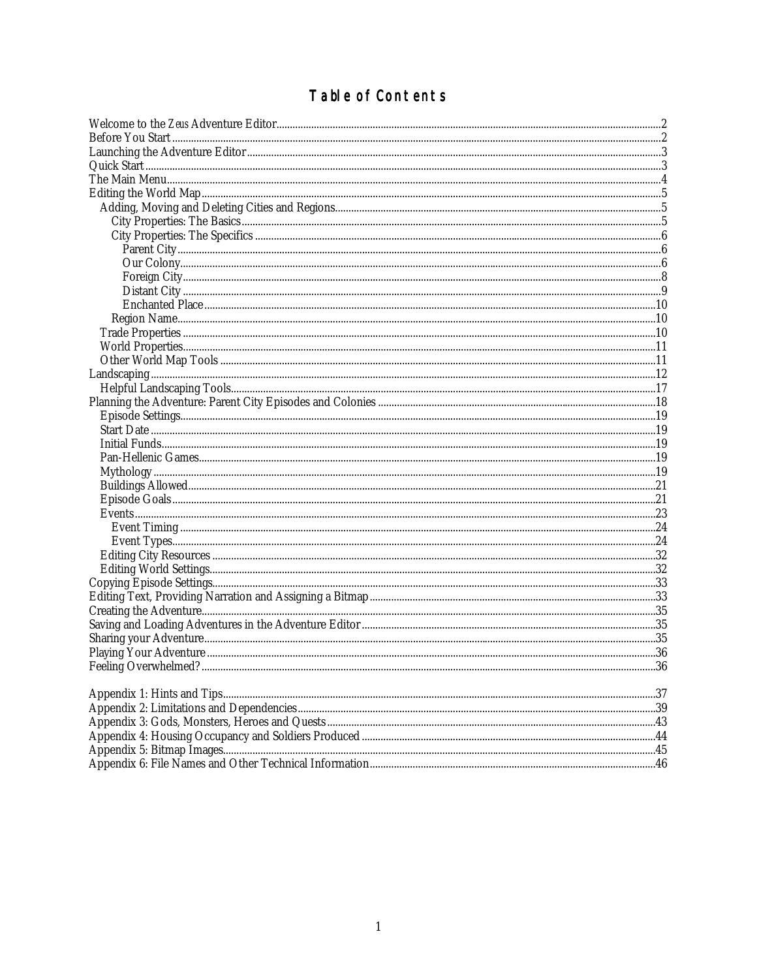# Table of Contents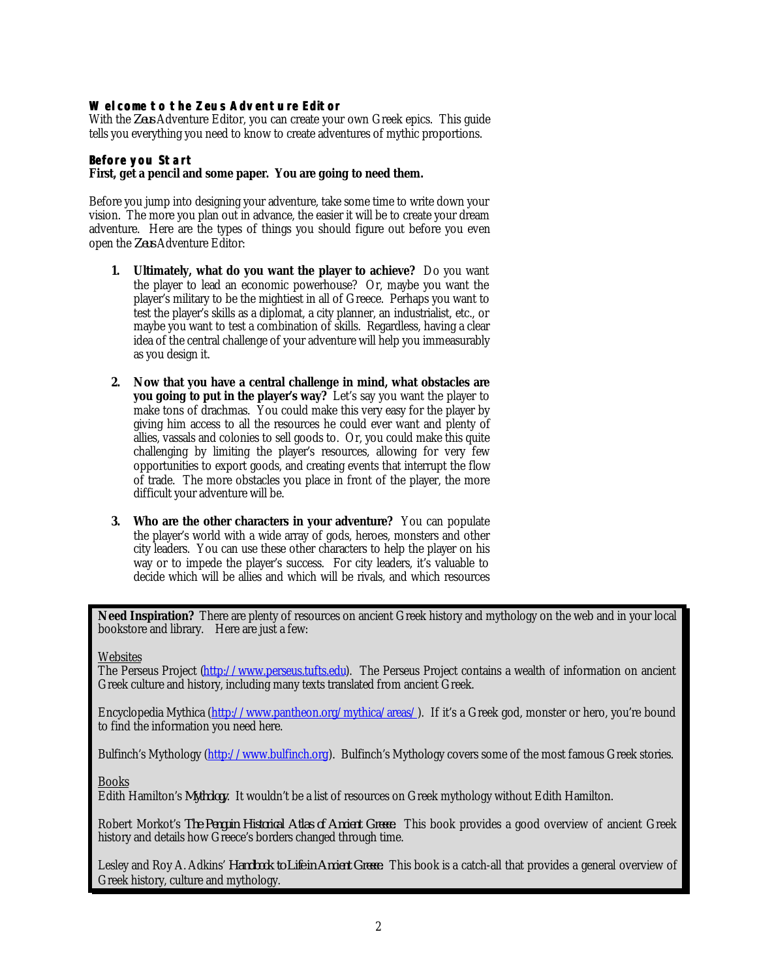## <span id="page-1-0"></span>**Welcome to the** *Zeus* **Adventure Editor**

With the *Zeus* Adventure Editor, you can create your own Greek epics. This guide tells you everything you need to know to create adventures of mythic proportions.

# **Before you Start**

#### *First, get a pencil and some paper. You are going to need them.*

Before you jump into designing your adventure, take some time to write down your vision. The more you plan out in advance, the easier it will be to create your dream adventure. Here are the types of things you should figure out before you even open the *Zeus* Adventure Editor:

- **1. Ultimately, what do you want the player to achieve?** Do you want the player to lead an economic powerhouse? Or, maybe you want the player's military to be the mightiest in all of Greece. Perhaps you want to test the player's skills as a diplomat, a city planner, an industrialist, etc., or maybe you want to test a combination of skills. Regardless, having a clear idea of the central challenge of your adventure will help you immeasurably as you design it.
- **2. Now that you have a central challenge in mind, what obstacles are you going to put in the player's way?** Let's say you want the player to make tons of drachmas. You could make this very easy for the player by giving him access to all the resources he could ever want and plenty of allies, vassals and colonies to sell goods to. Or, you could make this quite challenging by limiting the player's resources, allowing for very few opportunities to export goods, and creating events that interrupt the flow of trade. The more obstacles you place in front of the player, the more difficult your adventure will be.
- **3. Who are the other characters in your adventure?** You can populate the player's world with a wide array of gods, heroes, monsters and other city leaders. You can use these other characters to help the player on his way or to impede the player's success. For city leaders, it's valuable to decide which will be allies and which will be rivals, and which resources

**Need Inspiration?** There are plenty of resources on ancient Greek history and mythology on the web and in your local bookstore and library. Here are just a few:

**Websites** 

The Perseus Project [\(http://www.perseus.tufts.edu\).](http://www.perseus.tufts.edu) The Perseus Project contains a wealth of information on ancient Greek culture and history, including many texts translated from ancient Greek.

Encyclopedia Mythica [\(http://www.pantheon.org/mythica/areas/\)](http://www.pantheon.org/mythica/areas/). If it's a Greek god, monster or hero, you're bound to find the information you need here.

Bulfinch's Mythology [\(http://www.bulfinch.org\).](http://www.bulfinch.org) Bulfinch's Mythology covers some of the most famous Greek stories.

Books

Edith Hamilton's *Mythology*. It wouldn't be a list of resources on Greek mythology without Edith Hamilton.

Robert Morkot's *The Penguin Historical Atlas of Ancient Greece.* This book provides a good overview of ancient Greek history and details how Greece's borders changed through time.

Lesley and Roy A. Adkins' *Handbook to Life in Ancient Greece.* This book is a catch-all that provides a general overview of Greek history, culture and mythology.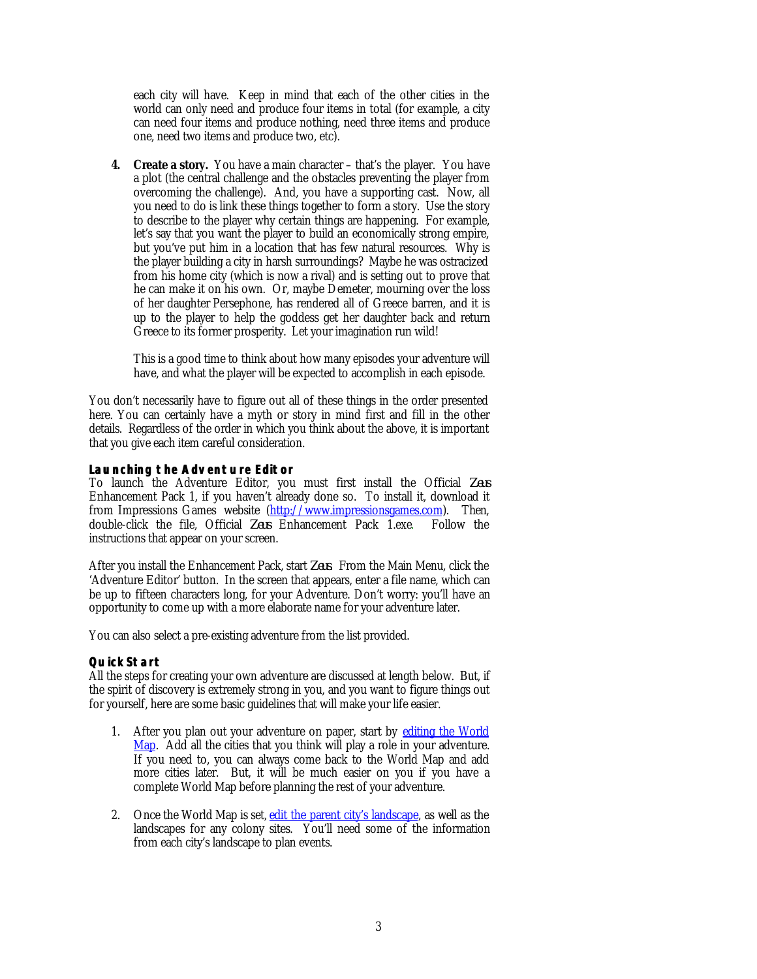<span id="page-2-0"></span>each city will have. Keep in mind that each of the other cities in the world can only need and produce four items in total (for example, a city can need four items and produce nothing, need three items and produce one, need two items and produce two, etc).

**4. Create a story.** You have a main character – that's the player. You have a plot (the central challenge and the obstacles preventing the player from overcoming the challenge). And, you have a supporting cast. Now, all you need to do is link these things together to form a story. Use the story to describe to the player why certain things are happening. For example, let's say that you want the player to build an economically strong empire, but you've put him in a location that has few natural resources. Why is the player building a city in harsh surroundings? Maybe he was ostracized from his home city (which is now a rival) and is setting out to prove that he can make it on his own. Or, maybe Demeter, mourning over the loss of her daughter Persephone, has rendered all of Greece barren, and it is up to the player to help the goddess get her daughter back and return Greece to its former prosperity. Let your imagination run wild!

This is a good time to think about how many episodes your adventure will have, and what the player will be expected to accomplish in each episode.

You don't necessarily have to figure out all of these things in the order presented here. You can certainly have a myth or story in mind first and fill in the other details. Regardless of the order in which you think about the above, it is important that you give each item careful consideration.

# **Launching the Adventure Editor**

To launch the Adventure Editor, you must first install the Official *Zeus* Enhancement Pack 1, if you haven't already done so. To install it, download it from Impressions Games website [\(http://www.impressionsgames.com\).](http://www.impressionsgames.com) Then, double-click the file. Official Zens Enhancement Pack Lexe. Follow the double-click the file, Official *Zeus* Enhancement Pack 1.exe. instructions that appear on your screen.

After you install the Enhancement Pack, start *Zeus*. From the Main Menu, click the 'Adventure Editor' button. In the screen that appears, enter a file name, which can be up to fifteen characters long, for your Adventure. Don't worry: you'll have an opportunity to come up with a more elaborate name for your adventure later.

You can also select a pre-existing adventure from the list provided.

# **Quick Start**

All the steps for creating your own adventure are discussed at length below. But, if the spirit of discovery is extremely strong in you, and you want to figure things out for yourself, here are some basic guidelines that will make your life easier.

- 1. After you plan out your adventure on paper, start b[y editing the World](#page-4-0) [Map.](#page-4-0) Add all the cities that you think will play a role in your adventure. If you need to, you can always come back to the World Map and add more cities later. But, it will be much easier on you if you have a complete World Map before planning the rest of your adventure.
- 2. Once the World Map is set, edit the parent city's landscape, as well as the landscapes for any colony sites. You'll need some of the information from each city's landscape to plan events.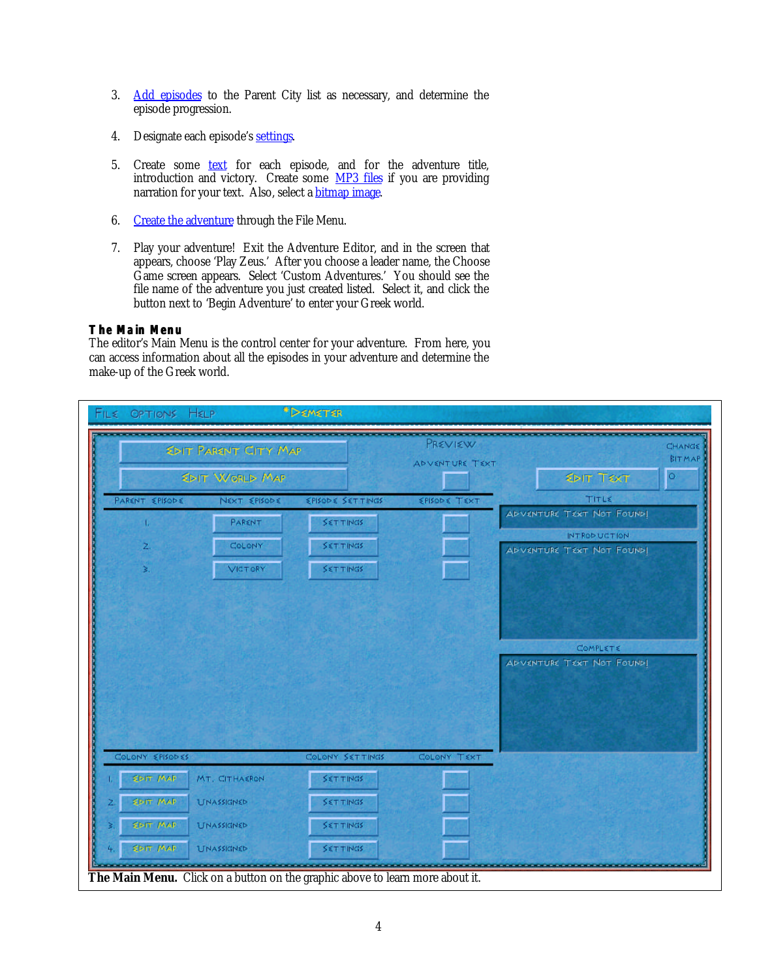- <span id="page-3-0"></span>3. Add episodes to the Parent City list as necessary, and determine the episode progression.
- 4. Designate each episode's settings.
- 5. Create some **text** for each episode, and for the adventure title, introduction and victory. Create some MP3 files if you are providing narration for your text. Also, select a bitmap image.
- 6. Create the adventure through the File Menu.
- 7. Play your adventure! Exit the Adventure Editor, and in the screen that appears, choose 'Play Zeus.' After you choose a leader name, the Choose Game screen appears. Select 'Custom Adventures.' You should see the file name of the adventure you just created listed. Select it, and click the button next to 'Begin Adventure' to enter your Greek world.

# **The Main Menu**

The editor's Main Menu is the control center for your adventure. From here, you can access information about all the episodes in your adventure and determine the make-up of the Greek world.

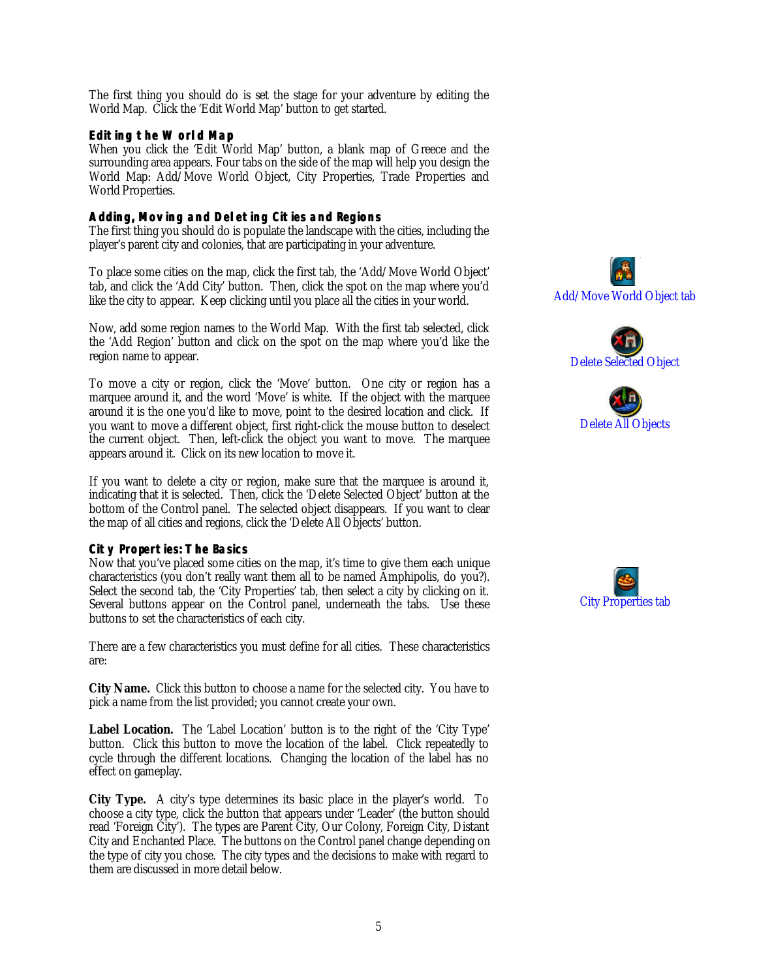<span id="page-4-0"></span>The first thing you should do is set the stage for your adventure by editing the World Map. Click the 'Edit World Map' button to get started.

#### **Editing the World Map**

When you click the 'Edit World Map' button, a blank map of Greece and the surrounding area appears. Four tabs on the side of the map will help you design the World Map: Add/Move World Object, City Properties, Trade Properties and World Properties.

#### **Adding, Moving and Deleting Cities and Regions**

The first thing you should do is populate the landscape with the cities, including the player's parent city and colonies, that are participating in your adventure.

To place some cities on the map, click the first tab, the 'Add/Move World Object' tab, and click the 'Add City' button. Then, click the spot on the map where you'd like the city to appear. Keep clicking until you place all the cities in your world.

Now, add some region names to the World Map. With the first tab selected, click the 'Add Region' button and click on the spot on the map where you'd like the region name to appear.

To move a city or region, click the 'Move' button. One city or region has a marquee around it, and the word 'Move' is white. If the object with the marquee around it is the one you'd like to move, point to the desired location and click. If you want to move a different object, first right-click the mouse button to deselect the current object. Then, left-click the object you want to move. The marquee appears around it. Click on its new location to move it.

If you want to delete a city or region, make sure that the marquee is around it, indicating that it is selected. Then, click the 'Delete Selected Object' button at the bottom of the Control panel. The selected object disappears. If you want to clear the map of all cities and regions, click the 'Delete All Objects' button.

#### **City Properties: The Basics**

Now that you've placed some cities on the map, it's time to give them each unique characteristics (you don't really want them all to be named Amphipolis, do you?). Select the second tab, the 'City Properties' tab, then select a city by clicking on it. Several buttons appear on the Control panel, underneath the tabs. Use these buttons to set the characteristics of each city.

There are a few characteristics you must define for all cities. These characteristics are:

**City Name.** Click this button to choose a name for the selected city. You have to pick a name from the list provided; you cannot create your own.

**Label Location.** The 'Label Location' button is to the right of the 'City Type' button. Click this button to move the location of the label. Click repeatedly to cycle through the different locations. Changing the location of the label has no effect on gameplay.

**City Type.** A city's type determines its basic place in the player's world. To choose a city type, click the button that appears under 'Leader' (the button should read 'Foreign City'). The types are Parent City, Our Colony, Foreign City, Distant City and Enchanted Place. The buttons on the Control panel change depending on the type of city you chose. The city types and the decisions to make with regard to them are discussed in more detail below.







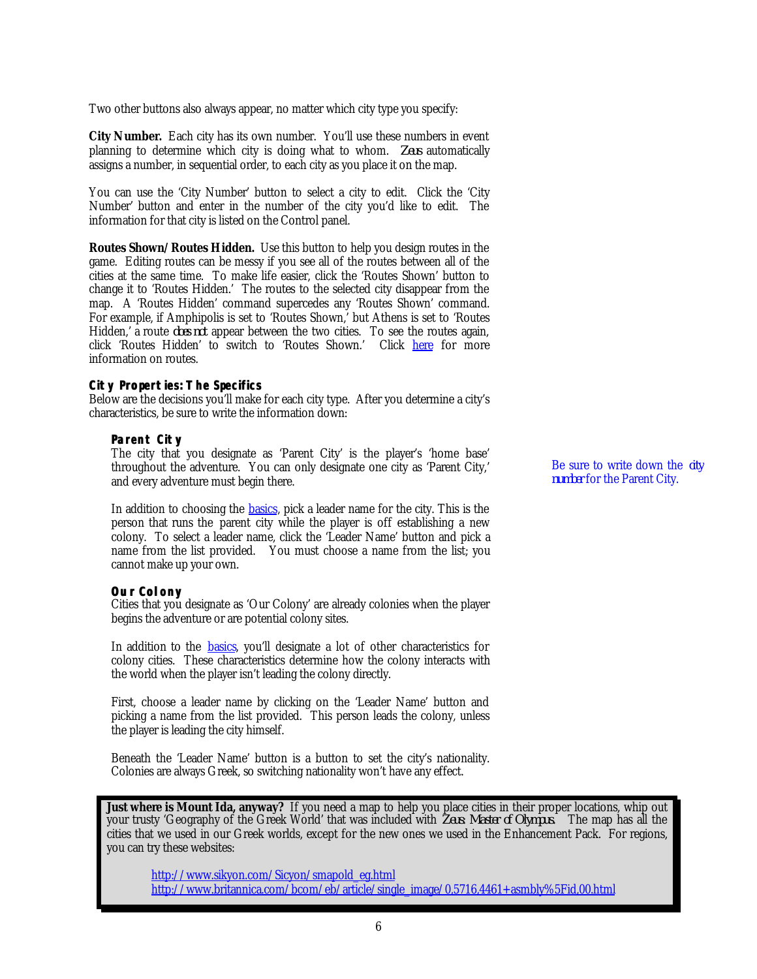<span id="page-5-0"></span>Two other buttons also always appear, no matter which city type you specify:

**City Number.** Each city has its own number. You'll use these numbers in event planning to determine which city is doing what to whom. *Zeus* automatically assigns a number, in sequential order, to each city as you place it on the map.

You can use the 'City Number' button to select a city to edit. Click the 'City Number' button and enter in the number of the city you'd like to edit. The information for that city is listed on the Control panel.

**Routes Shown/Routes Hidden.** Use this button to help you design routes in the game. Editing routes can be messy if you see all of the routes between all of the cities at the same time. To make life easier, click the 'Routes Shown' button to change it to 'Routes Hidden.' The routes to the selected city disappear from the map. A 'Routes Hidden' command supercedes any 'Routes Shown' command. For example, if Amphipolis is set to 'Routes Shown,' but Athens is set to 'Routes Hidden,' a route *does not* appear between the two cities. To see the routes again, click 'Routes Hidden' to switch to 'Routes Shown.' Click [here](#page-9-0) for more information on routes.

## **City Properties: The Specifics**

Below are the decisions you'll make for each city type. After you determine a city's characteristics, be sure to write the information down:

#### **Parent City**

The city that you designate as 'Parent City' is the player's 'home base' throughout the adventure. You can only designate one city as 'Parent City,' and every adventure must begin there.

In addition to choosing the **basics**, pick a leader name for the city. This is the person that runs the parent city while the player is off establishing a new colony. To select a leader name, click the 'Leader Name' button and pick a name from the list provided. You must choose a name from the list; you cannot make up your own.

## **Our Colony**

Cities that you designate as 'Our Colony' are already colonies when the player begins the adventure or are potential colony sites.

In addition to the **basics**, you'll designate a lot of other characteristics for colony cities. These characteristics determine how the colony interacts with the world when the player isn't leading the colony directly.

First, choose a leader name by clicking on the 'Leader Name' button and picking a name from the list provided. This person leads the colony, unless the player is leading the city himself.

Beneath the 'Leader Name' button is a button to set the city's nationality. Colonies are always Greek, so switching nationality won't have any effect.

**Just where is Mount Ida, anyway?** If you need a map to help you place cities in their proper locations, whip out your trusty 'Geography of the Greek World' that was included with *Zeus: Master of Olympus.* The map has all the cities that we used in our Greek worlds, except for the new ones we used in the Enhancement Pack. For regions, you can try these websites:

[http://www.sikyon.com/Sicyon/smapold\\_eg.html](http://www.sikyon.com/Sicyon/smapold_eg.html) [http://www.britannica.com/bcom/eb/article/single\\_image/0,5716,4461+asmbly%5Fid,00.html](http://www.britannica.com/bcom/eb/article/single_image/0,5716,4461+asmbly%5Fid,00.html)

Be sure to write down the *city number* for the Parent City.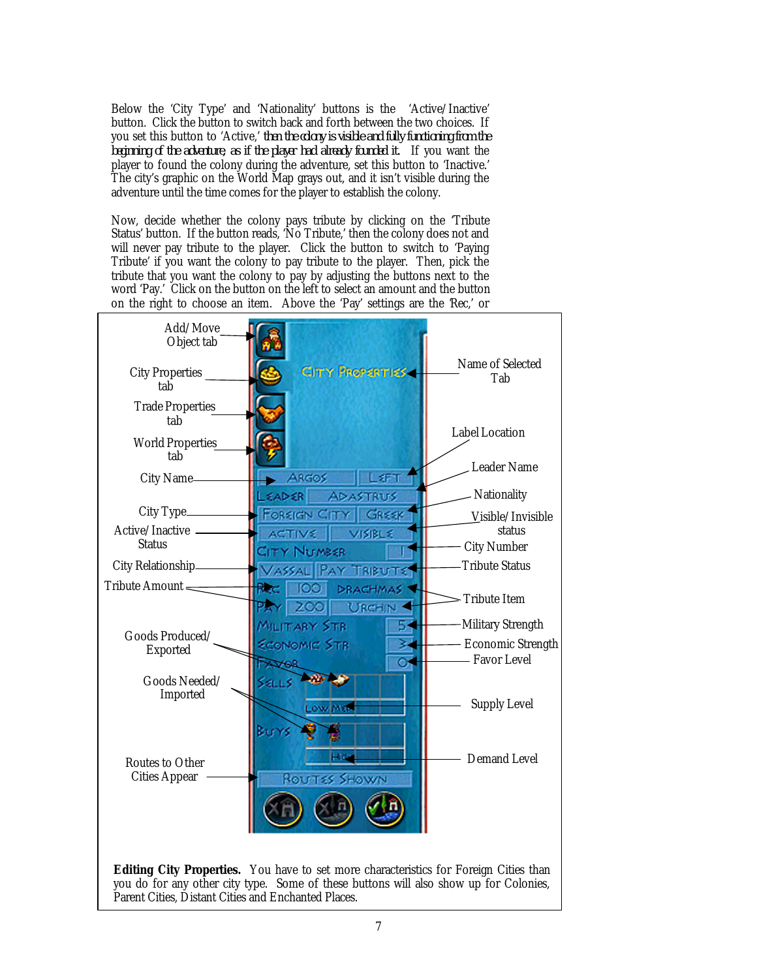Below the 'City Type' and 'Nationality' buttons is the 'Active/Inactive' button. Click the button to switch back and forth between the two choices. If you set this button to 'Active,' *then the colony is visible and fully functioning from the beginning of the adventure, as if the player had already founded it.* If you want the player to found the colony during the adventure, set this button to 'Inactive.' The city's graphic on the World Map grays out, and it isn't visible during the adventure until the time comes for the player to establish the colony.

Now, decide whether the colony pays tribute by clicking on the 'Tribute Status' button. If the button reads, 'No Tribute,' then the colony does not and will never pay tribute to the player. Click the button to switch to 'Paying Tribute' if you want the colony to pay tribute to the player. Then, pick the tribute that you want the colony to pay by adjusting the buttons next to the word 'Pay.' Click on the button on the left to select an amount and the button on the right to choose an item. Above the 'Pay' settings are the 'Rec,' or

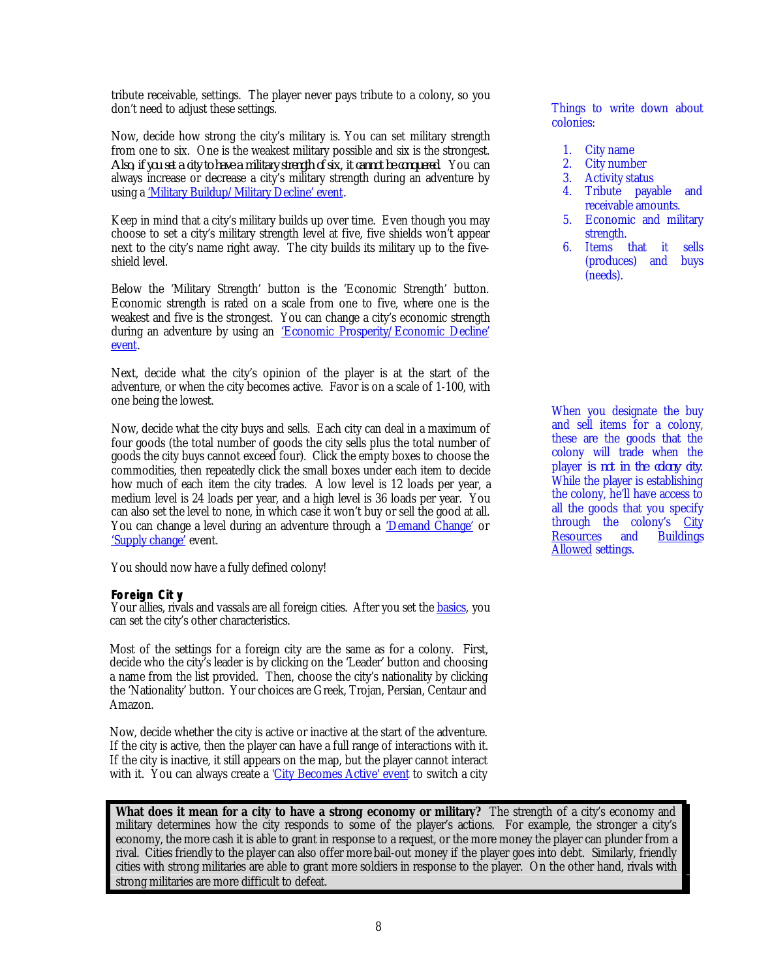<span id="page-7-0"></span>tribute receivable, settings. The player never pays tribute to a colony, so you don't need to adjust these settings.

Now, decide how strong the city's military is. You can set military strength from one to six. One is the weakest military possible and six is the strongest. *Also, if you set a city to have a military strength of six, it cannot be conquered.* You can always increase or decrease a city's military strength during an adventure by using a 'Military Buildup/Military Decline' event.

Keep in mind that a city's military builds up over time. Even though you may choose to set a city's military strength level at five, five shields won't appear next to the city's name right away. The city builds its military up to the fiveshield level.

Below the 'Military Strength' button is the 'Economic Strength' button. Economic strength is rated on a scale from one to five, where one is the weakest and five is the strongest. You can change a city's economic strength during an adventure by using an 'Economic Prosperity/Economic Decline' [event.](#page-29-0)

Next, decide what the city's opinion of the player is at the start of the adventure, or when the city becomes active. Favor is on a scale of 1-100, with one being the lowest.

Now, decide what the city buys and sells. Each city can deal in a maximum of four goods (the total number of goods the city sells plus the total number of goods the city buys cannot exceed four). Click the empty boxes to choose the commodities, then repeatedly click the small boxes under each item to decide how much of each item the city trades. A low level is 12 loads per year, a medium level is 24 loads per year, and a high level is 36 loads per year. You can also set the level to none, in which case it won't buy or sell the good at all. You can change a level during an adventure through a 'Demand Change' or 'Supply change' event.

You should now have a fully defined colony!

## **Foreign City**

Your allies, rivals and vassals are all foreign cities. After you set the **basics**, you can set the city's other characteristics.

Most of the settings for a foreign city are the same as for a colony. First, decide who the city's leader is by clicking on the 'Leader' button and choosing a name from the list provided. Then, choose the city's nationality by clicking the 'Nationality' button. Your choices are Greek, Trojan, Persian, Centaur and Amazon.

Now, decide whether the city is active or inactive at the start of the adventure. If the city is active, then the player can have a full range of interactions with it. If the city is inactive, it still appears on the map, but the player cannot interact with it. You can always create a 'City Becomes Active' event to switch a city Things to write down about colonies:

- 1. City name
- 2. City number
- 3. Activity status
- 4. Tribute payable and receivable amounts.
- 5. Economic and military strength.
- 6. Items that it sells (produces) and buys (needs).

When you designate the buy and sell items for a colony, these are the goods that the colony will trade when the player *is not in the colony city*. While the player is establishing the colony, he'll have access to all the goods that you specify through the colony's [City](#page-31-0) [Resources](#page-31-0) and [Buildings](#page-20-0) **[Allowed s](#page-20-0)ettings.** 

**What does it mean for a city to have a strong economy or military?** The strength of a city's economy and military determines how the city responds to some of the player's actions. For example, the stronger a city's economy, the more cash it is able to grant in response to a request, or the more money the player can plunder from a rival. Cities friendly to the player can also offer more bail-out money if the player goes into debt. Similarly, friendly cities with strong militaries are able to grant more soldiers in response to the player. On the other hand, rivals with strong militaries are more difficult to defeat.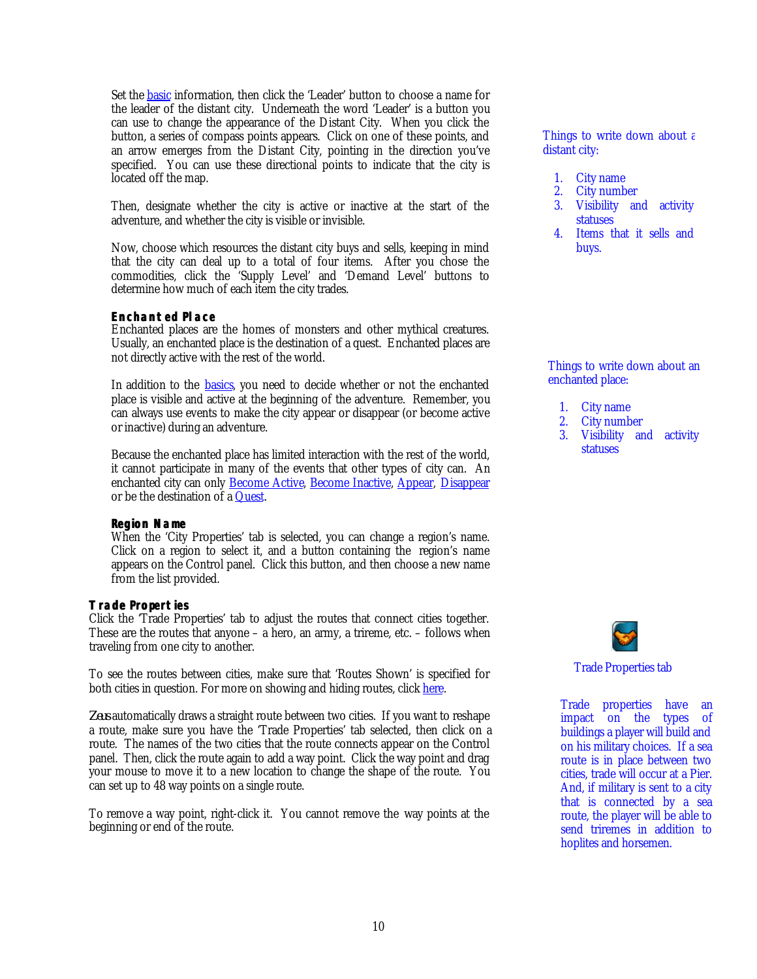<span id="page-9-0"></span>Set the **basic** information, then click the 'Leader' button to choose a name for the leader of the distant city. Underneath the word 'Leader' is a button you can use to change the appearance of the Distant City. When you click the button, a series of compass points appears. Click on one of these points, and an arrow emerges from the Distant City, pointing in the direction you've specified. You can use these directional points to indicate that the city is located off the map.

Then, designate whether the city is active or inactive at the start of the adventure, and whether the city is visible or invisible.

Now, choose which resources the distant city buys and sells, keeping in mind that the city can deal up to a total of four items. After you chose the commodities, click the 'Supply Level' and 'Demand Level' buttons to determine how much of each item the city trades.

## **Enchanted Place**

Enchanted places are the homes of monsters and other mythical creatures. Usually, an enchanted place is the destination of a quest. Enchanted places are not directly active with the rest of the world.

In addition to the **basics**, you need to decide whether or not the enchanted place is visible and active at the beginning of the adventure. Remember, you can always use events to make the city appear or disappear (or become active or inactive) during an adventure.

Because the enchanted place has limited interaction with the rest of the world, it cannot participate in many of the events that other types of city can. An enchanted city can only **Become Active**, **Become Inactive**, **Appear**, *Disappear* or be the destination of a Quest.

#### **Region Name**

When the 'City Properties' tab is selected, you can change a region's name. Click on a region to select it, and a button containing the region's name appears on the Control panel. Click this button, and then choose a new name from the list provided.

## **Trade Properties**

Click the 'Trade Properties' tab to adjust the routes that connect cities together. These are the routes that anyone – a hero, an army, a trireme, etc. – follows when traveling from one city to another.

To see the routes between cities, make sure that 'Routes Shown' is specified for both cities in question. For more on showing and hiding routes, click [here.](#page-5-0)

*Zeus* automatically draws a straight route between two cities. If you want to reshape a route, make sure you have the 'Trade Properties' tab selected, then click on a route. The names of the two cities that the route connects appear on the Control panel. Then, click the route again to add a way point. Click the way point and drag your mouse to move it to a new location to change the shape of the route. You can set up to 48 way points on a single route.

To remove a way point, right-click it. You cannot remove the way points at the beginning or end of the route.

Things to write down about a distant city:

- 1. City name
- 2. City number
- 3. Visibility and activity statuses
- 4. Items that it sells and buys.

Things to write down about an enchanted place:

- 1. City name
- 2. City number<br>3. Visibility and
- Visibility and activity statuses



Trade Properties tab

Trade properties have an impact on the types of buildings a player will build and on his military choices. If a sea route is in place between two cities, trade will occur at a Pier. And, if military is sent to a city that is connected by a sea route, the player will be able to send triremes in addition to hoplites and horsemen.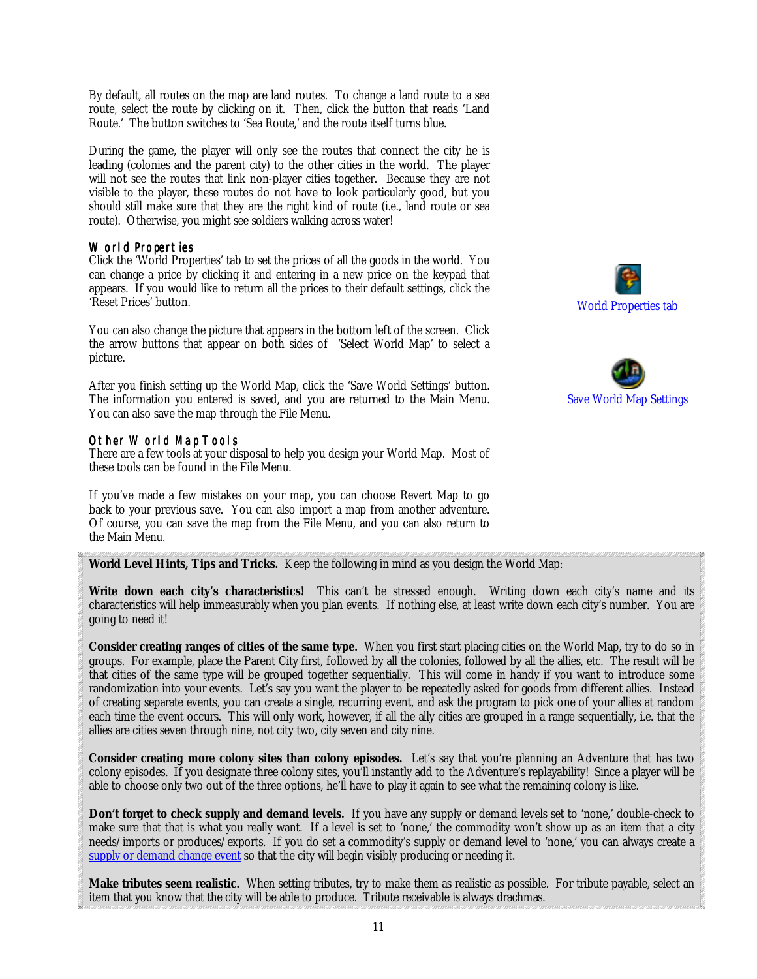<span id="page-10-0"></span>By default, all routes on the map are land routes. To change a land route to a sea route, select the route by clicking on it. Then, click the button that reads 'Land Route.' The button switches to 'Sea Route,' and the route itself turns blue.

During the game, the player will only see the routes that connect the city he is leading (colonies and the parent city) to the other cities in the world. The player will not see the routes that link non-player cities together. Because they are not visible to the player, these routes do not have to look particularly good, but you should still make sure that they are the right *kind* of route (i.e., land route or sea route). Otherwise, you might see soldiers walking across water!

#### World Properties

Click the 'World Properties' tab to set the prices of all the goods in the world. You can change a price by clicking it and entering in a new price on the keypad that appears. If you would like to return all the prices to their default settings, click the 'Reset Prices' button.

You can also change the picture that appears in the bottom left of the screen. Click the arrow buttons that appear on both sides of 'Select World Map' to select a picture.

After you finish setting up the World Map, click the 'Save World Settings' button. The information you entered is saved, and you are returned to the Main Menu. You can also save the map through the File Menu.

## Other World Map Tools

There are a few tools at your disposal to help you design your World Map. Most of these tools can be found in the File Menu.

If you've made a few mistakes on your map, you can choose Revert Map to go back to your previous save. You can also import a map from another adventure. Of course, you can save the map from the File Menu, and you can also return to the Main Menu.

**World Level Hints, Tips and Tricks.** Keep the following in mind as you design the World Map:

**Write down each city's characteristics!** This can't be stressed enough. Writing down each city's name and its characteristics will help immeasurably when you plan events. If nothing else, at least write down each city's number. You are going to need it!

**Consider creating ranges of cities of the same type.** When you first start placing cities on the World Map, try to do so in groups. For example, place the Parent City first, followed by all the colonies, followed by all the allies, etc. The result will be that cities of the same type will be grouped together sequentially. This will come in handy if you want to introduce some randomization into your events. Let's say you want the player to be repeatedly asked for goods from different allies. Instead of creating separate events, you can create a single, recurring event, and ask the program to pick one of your allies at random each time the event occurs. This will only work, however, if all the ally cities are grouped in a range sequentially, i.e. that the allies are cities seven through nine, not city two, city seven and city nine.

**Consider creating more colony sites than colony episodes.** Let's say that you're planning an Adventure that has two colony episodes. If you designate three colony sites, you'll instantly add to the Adventure's replayability! Since a player will be able to choose only two out of the three options, he'll have to play it again to see what the remaining colony is like.

**Don't forget to check supply and demand levels.** If you have any supply or demand levels set to 'none,' double-check to make sure that that is what you really want. If a level is set to 'none,' the commodity won't show up as an item that a city needs/imports or produces/exports. If you do set a commodity's supply or demand level to 'none,' you can always create a supply or demand change event so that the city will begin visibly producing or needing it.

**Make tributes seem realistic.** When setting tributes, try to make them as realistic as possible. For tribute payable, select an item that you know that the city will be able to produce. Tribute receivable is always drachmas.



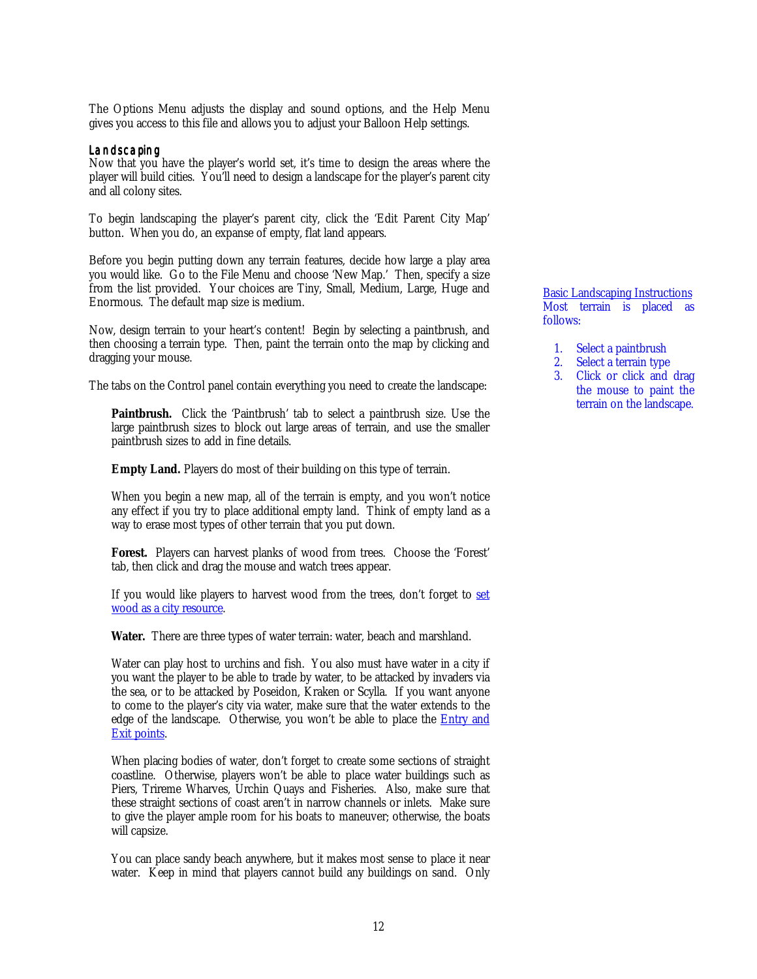The Options Menu adjusts the display and sound options, and the Help Menu gives you access to this file and allows you to adjust your Balloon Help settings.

#### Landscaping

Now that you have the player's world set, it's time to design the areas where the player will build cities. You'll need to design a landscape for the player's parent city and all colony sites.

To begin landscaping the player's parent city, click the 'Edit Parent City Map' button. When you do, an expanse of empty, flat land appears.

Before you begin putting down any terrain features, decide how large a play area you would like. Go to the File Menu and choose 'New Map.' Then, specify a size from the list provided. Your choices are Tiny, Small, Medium, Large, Huge and Enormous. The default map size is medium.

Now, design terrain to your heart's content! Begin by selecting a paintbrush, and then choosing a terrain type. Then, paint the terrain onto the map by clicking and dragging your mouse.

The tabs on the Control panel contain everything you need to create the landscape:

**Paintbrush.** Click the 'Paintbrush' tab to select a paintbrush size. Use the large paintbrush sizes to block out large areas of terrain, and use the smaller paintbrush sizes to add in fine details.

**Empty Land.** Players do most of their building on this type of terrain.

When you begin a new map, all of the terrain is empty, and you won't notice any effect if you try to place additional empty land. Think of empty land as a way to erase most types of other terrain that you put down.

Forest. Players can harvest planks of wood from trees. Choose the 'Forest' tab, then click and drag the mouse and watch trees appear.

If you would like players to harvest wood from the trees, don't forget to set wood as a city resource.

**Water.** There are three types of water terrain: water, beach and marshland.

Water can play host to urchins and fish. You also must have water in a city if you want the player to be able to trade by water, to be attacked by invaders via the sea, or to be attacked by Poseidon, Kraken or Scylla. If you want anyone to come to the player's city via water, make sure that the water extends to the edge of the landscape. Otherwise, you won't be able to place the **Entry and** Exit points.

When placing bodies of water, don't forget to create some sections of straight coastline. Otherwise, players won't be able to place water buildings such as Piers, Trireme Wharves, Urchin Quays and Fisheries. Also, make sure that these straight sections of coast aren't in narrow channels or inlets. Make sure to give the player ample room for his boats to maneuver; otherwise, the boats will capsize.

You can place sandy beach anywhere, but it makes most sense to place it near water. Keep in mind that players cannot build any buildings on sand. Only Basic Landscaping Instructions Most terrain is placed as follows:

- 1. Select a paintbrush
- 2. Select a terrain type
- 3. Click or click and drag the mouse to paint the terrain on the landscape.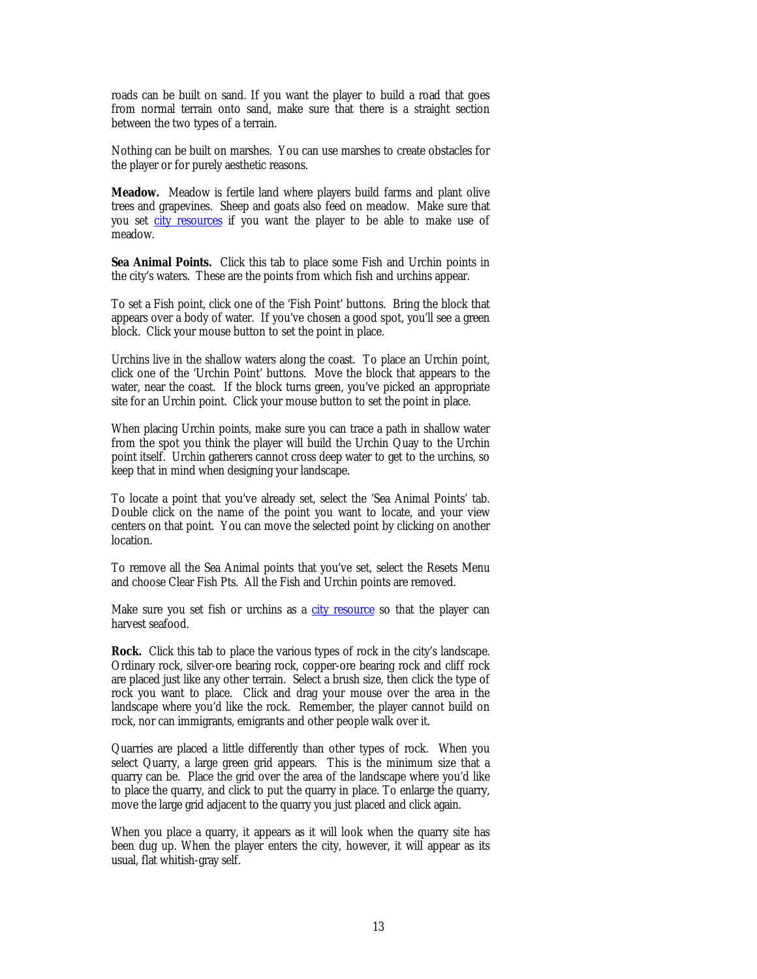<span id="page-12-0"></span>roads can be built on sand. If you want the player to build a road that goes from normal terrain onto sand, make sure that there is a straight section between the two types of a terrain.

Nothing can be built on marshes. You can use marshes to create obstacles for the player or for purely aesthetic reasons.

**Meadow.** Meadow is fertile land where players build farms and plant olive trees and grapevines. Sheep and goats also feed on meadow. Make sure that you set city resources if you want the player to be able to make use of meadow.

**Sea Animal Points.** Click this tab to place some Fish and Urchin points in the city's waters. These are the points from which fish and urchins appear.

To set a Fish point, click one of the 'Fish Point' buttons. Bring the block that appears over a body of water. If you've chosen a good spot, you'll see a green block. Click your mouse button to set the point in place.

Urchins live in the shallow waters along the coast. To place an Urchin point, click one of the 'Urchin Point' buttons. Move the block that appears to the water, near the coast. If the block turns green, you've picked an appropriate site for an Urchin point. Click your mouse button to set the point in place.

When placing Urchin points, make sure you can trace a path in shallow water from the spot you think the player will build the Urchin Quay to the Urchin point itself. Urchin gatherers cannot cross deep water to get to the urchins, so keep that in mind when designing your landscape.

To locate a point that you've already set, select the 'Sea Animal Points' tab. Double click on the name of the point you want to locate, and your view centers on that point. You can move the selected point by clicking on another location.

To remove all the Sea Animal points that you've set, select the Resets Menu and choose Clear Fish Pts. All the Fish and Urchin points are removed.

Make sure you set fish or urchins as a city resource so that the player can harvest seafood.

**Rock.** Click this tab to place the various types of rock in the city's landscape. Ordinary rock, silver-ore bearing rock, copper-ore bearing rock and cliff rock are placed just like any other terrain. Select a brush size, then click the type of rock you want to place. Click and drag your mouse over the area in the landscape where you'd like the rock. Remember, the player cannot build on rock, nor can immigrants, emigrants and other people walk over it.

Quarries are placed a little differently than other types of rock. When you select Quarry, a large green grid appears. This is the minimum size that a quarry can be. Place the grid over the area of the landscape where you'd like to place the quarry, and click to put the quarry in place. To enlarge the quarry, move the large grid adjacent to the quarry you just placed and click again.

When you place a quarry, it appears as it will look when the quarry site has been dug up. When the player enters the city, however, it will appear as its usual, flat whitish-gray self.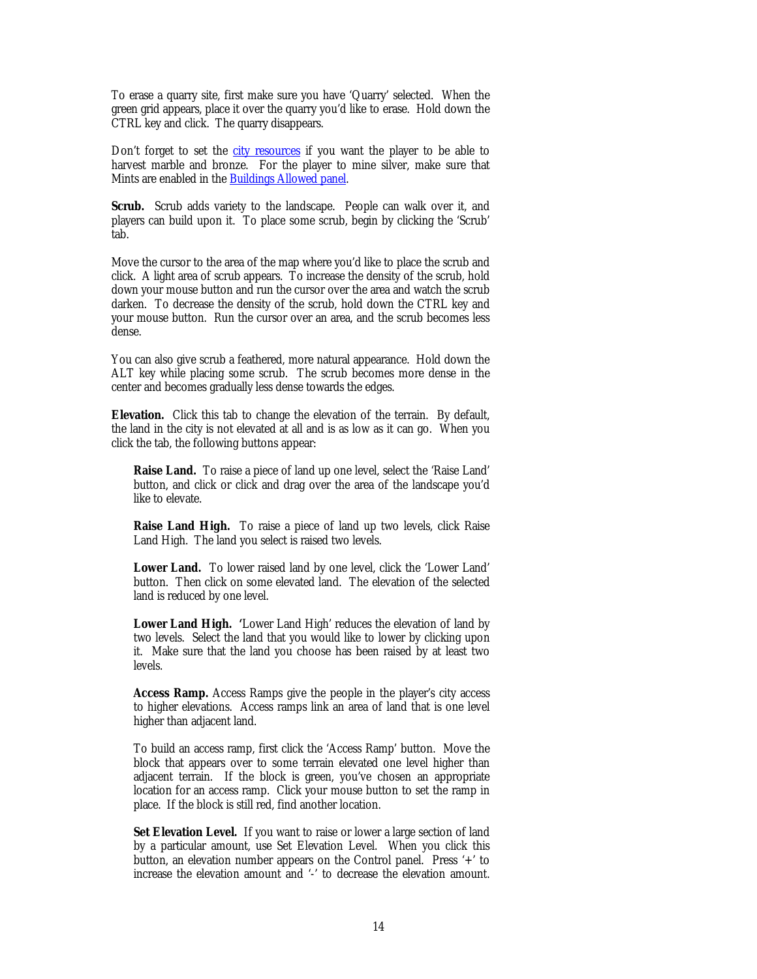To erase a quarry site, first make sure you have 'Quarry' selected. When the green grid appears, place it over the quarry you'd like to erase. Hold down the CTRL key and click. The quarry disappears.

Don't forget to set the [city resources](#page-31-0) if you want the player to be able to harvest marble and bronze. For the player to mine silver, make sure that Mints are enabled in the Buildings Allowed panel.

**Scrub.** Scrub adds variety to the landscape. People can walk over it, and players can build upon it. To place some scrub, begin by clicking the 'Scrub' tab.

Move the cursor to the area of the map where you'd like to place the scrub and click. A light area of scrub appears. To increase the density of the scrub, hold down your mouse button and run the cursor over the area and watch the scrub darken. To decrease the density of the scrub, hold down the CTRL key and your mouse button. Run the cursor over an area, and the scrub becomes less dense.

You can also give scrub a feathered, more natural appearance. Hold down the ALT key while placing some scrub. The scrub becomes more dense in the center and becomes gradually less dense towards the edges.

**Elevation.** Click this tab to change the elevation of the terrain. By default, the land in the city is not elevated at all and is as low as it can go. When you click the tab, the following buttons appear:

**Raise Land.** To raise a piece of land up one level, select the 'Raise Land' button, and click or click and drag over the area of the landscape you'd like to elevate.

**Raise Land High.** To raise a piece of land up two levels, click Raise Land High. The land you select is raised two levels.

**Lower Land.** To lower raised land by one level, click the 'Lower Land' button. Then click on some elevated land. The elevation of the selected land is reduced by one level.

**Lower Land High. '**Lower Land High' reduces the elevation of land by two levels. Select the land that you would like to lower by clicking upon it. Make sure that the land you choose has been raised by at least two levels.

**Access Ramp.** Access Ramps give the people in the player's city access to higher elevations. Access ramps link an area of land that is one level higher than adjacent land.

To build an access ramp, first click the 'Access Ramp' button. Move the block that appears over to some terrain elevated one level higher than adjacent terrain. If the block is green, you've chosen an appropriate location for an access ramp. Click your mouse button to set the ramp in place. If the block is still red, find another location.

**Set Elevation Level.** If you want to raise or lower a large section of land by a particular amount, use Set Elevation Level. When you click this button, an elevation number appears on the Control panel. Press '+' to increase the elevation amount and '-' to decrease the elevation amount.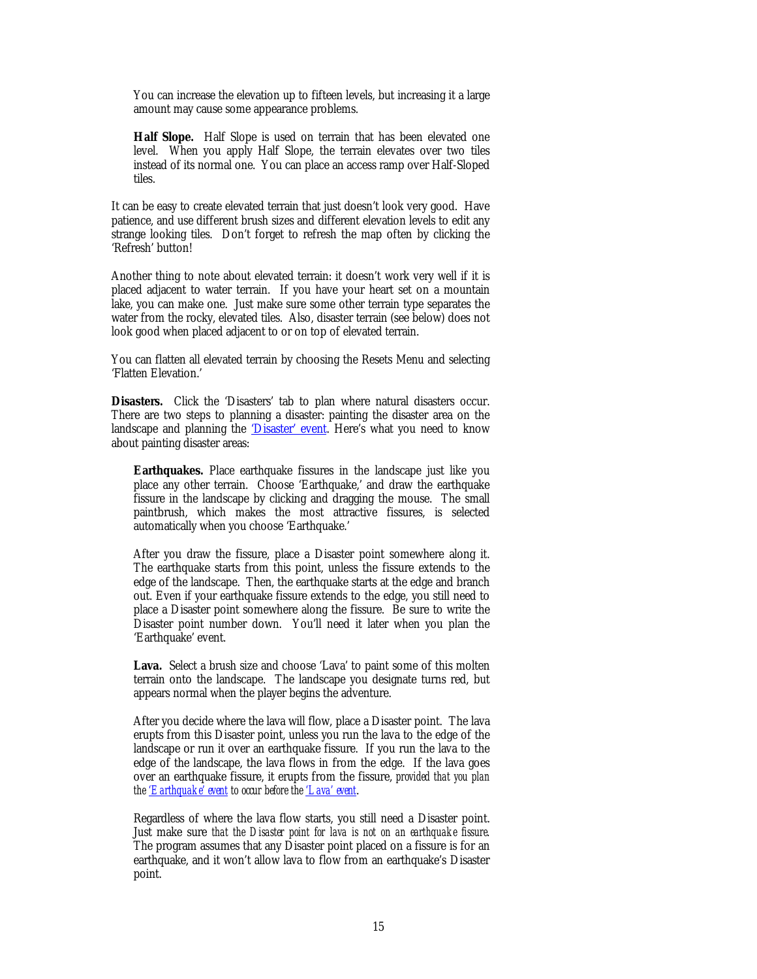You can increase the elevation up to fifteen levels, but increasing it a large amount may cause some appearance problems.

**Half Slope.** Half Slope is used on terrain that has been elevated one level. When you apply Half Slope, the terrain elevates over two tiles instead of its normal one. You can place an access ramp over Half-Sloped tiles.

It can be easy to create elevated terrain that just doesn't look very good. Have patience, and use different brush sizes and different elevation levels to edit any strange looking tiles. Don't forget to refresh the map often by clicking the 'Refresh' button!

Another thing to note about elevated terrain: it doesn't work very well if it is placed adjacent to water terrain. If you have your heart set on a mountain lake, you can make one. Just make sure some other terrain type separates the water from the rocky, elevated tiles. Also, disaster terrain (see below) does not look good when placed adjacent to or on top of elevated terrain.

You can flatten all elevated terrain by choosing the Resets Menu and selecting 'Flatten Elevation.'

**Disasters.** Click the 'Disasters' tab to plan where natural disasters occur. There are two steps to planning a disaster: painting the disaster area on the landscape and planning the 'Disaster' event. Here's what you need to know about painting disaster areas:

**Earthquakes.** Place earthquake fissures in the landscape just like you place any other terrain. Choose 'Earthquake,' and draw the earthquake fissure in the landscape by clicking and dragging the mouse. The small paintbrush, which makes the most attractive fissures, is selected automatically when you choose 'Earthquake.'

After you draw the fissure, place a Disaster point somewhere along it. The earthquake starts from this point, unless the fissure extends to the edge of the landscape. Then, the earthquake starts at the edge and branch out. Even if your earthquake fissure extends to the edge, you still need to place a Disaster point somewhere along the fissure. Be sure to write the Disaster point number down. You'll need it later when you plan the 'Earthquake' event.

Lava. Select a brush size and choose 'Lava' to paint some of this molten terrain onto the landscape. The landscape you designate turns red, but appears normal when the player begins the adventure.

After you decide where the lava will flow, place a Disaster point. The lava erupts from this Disaster point, unless you run the lava to the edge of the landscape or run it over an earthquake fissure. If you run the lava to the edge of the landscape, the lava flows in from the edge. If the lava goes over an earthquake fissure, it erupts from the fissure, *provided that you plan the 'Earthquake' event to occur before the 'Lava' event*.

Regardless of where the lava flow starts, you still need a Disaster point. Just make sure *that the Disaster point for lava is not on an earthquake fissure*. The program assumes that any Disaster point placed on a fissure is for an earthquake, and it won't allow lava to flow from an earthquake's Disaster point.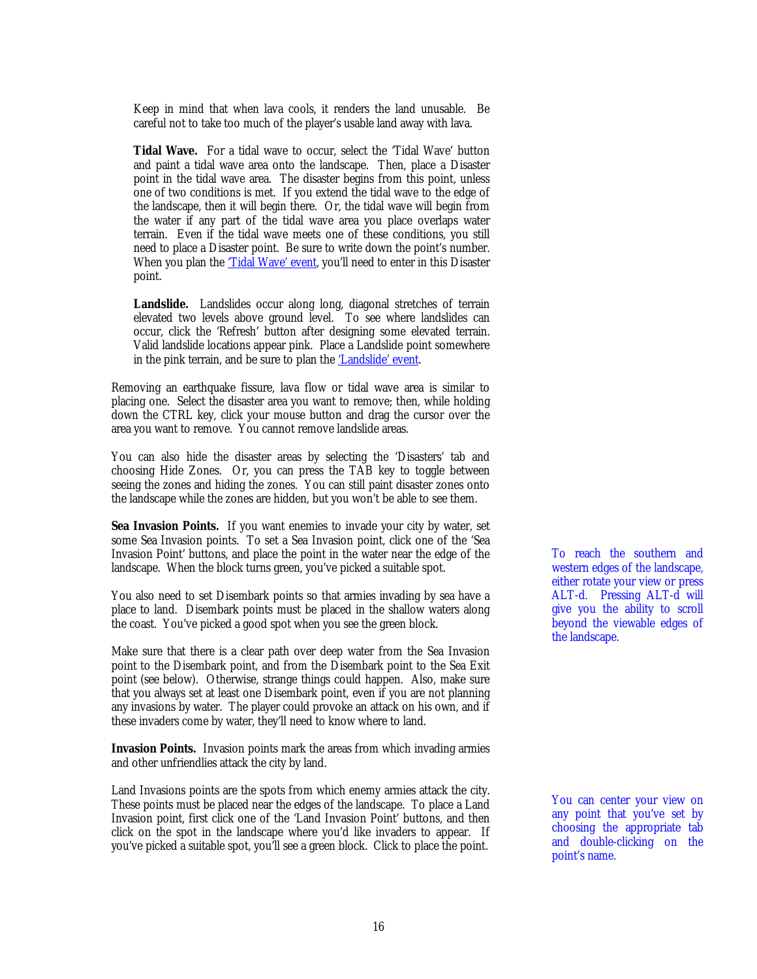Keep in mind that when lava cools, it renders the land unusable. Be careful not to take too much of the player's usable land away with lava.

**Tidal Wave.** For a tidal wave to occur, select the 'Tidal Wave' button and paint a tidal wave area onto the landscape. Then, place a Disaster point in the tidal wave area. The disaster begins from this point, unless one of two conditions is met. If you extend the tidal wave to the edge of the landscape, then it will begin there. Or, the tidal wave will begin from the water if any part of the tidal wave area you place overlaps water terrain. Even if the tidal wave meets one of these conditions, you still need to place a Disaster point. Be sure to write down the point's number. When you plan the *Tidal Wave'* event, you'll need to enter in this Disaster point.

Landslide. Landslides occur along long, diagonal stretches of terrain elevated two levels above ground level. To see where landslides can occur, click the 'Refresh' button after designing some elevated terrain. Valid landslide locations appear pink. Place a Landslide point somewhere in the pink terrain, and be sure to plan the 'Landslide' event.

Removing an earthquake fissure, lava flow or tidal wave area is similar to placing one. Select the disaster area you want to remove; then, while holding down the CTRL key, click your mouse button and drag the cursor over the area you want to remove. You cannot remove landslide areas.

You can also hide the disaster areas by selecting the 'Disasters' tab and choosing Hide Zones. Or, you can press the TAB key to toggle between seeing the zones and hiding the zones. You can still paint disaster zones onto the landscape while the zones are hidden, but you won't be able to see them.

**Sea Invasion Points.** If you want enemies to invade your city by water, set some Sea Invasion points. To set a Sea Invasion point, click one of the 'Sea Invasion Point' buttons, and place the point in the water near the edge of the landscape. When the block turns green, you've picked a suitable spot.

You also need to set Disembark points so that armies invading by sea have a place to land. Disembark points must be placed in the shallow waters along the coast. You've picked a good spot when you see the green block.

Make sure that there is a clear path over deep water from the Sea Invasion point to the Disembark point, and from the Disembark point to the Sea Exit point (see below). Otherwise, strange things could happen. Also, make sure that you always set at least one Disembark point, even if you are not planning any invasions by water. The player could provoke an attack on his own, and if these invaders come by water, they'll need to know where to land.

**Invasion Points.** Invasion points mark the areas from which invading armies and other unfriendlies attack the city by land.

Land Invasions points are the spots from which enemy armies attack the city. These points must be placed near the edges of the landscape. To place a Land Invasion point, first click one of the 'Land Invasion Point' buttons, and then click on the spot in the landscape where you'd like invaders to appear. If you've picked a suitable spot, you'll see a green block. Click to place the point.

To reach the southern and western edges of the landscape, either rotate your view or press ALT-d. Pressing ALT-d will give you the ability to scroll beyond the viewable edges of the landscape.

You can center your view on any point that you've set by choosing the appropriate tab and double-clicking on the point's name.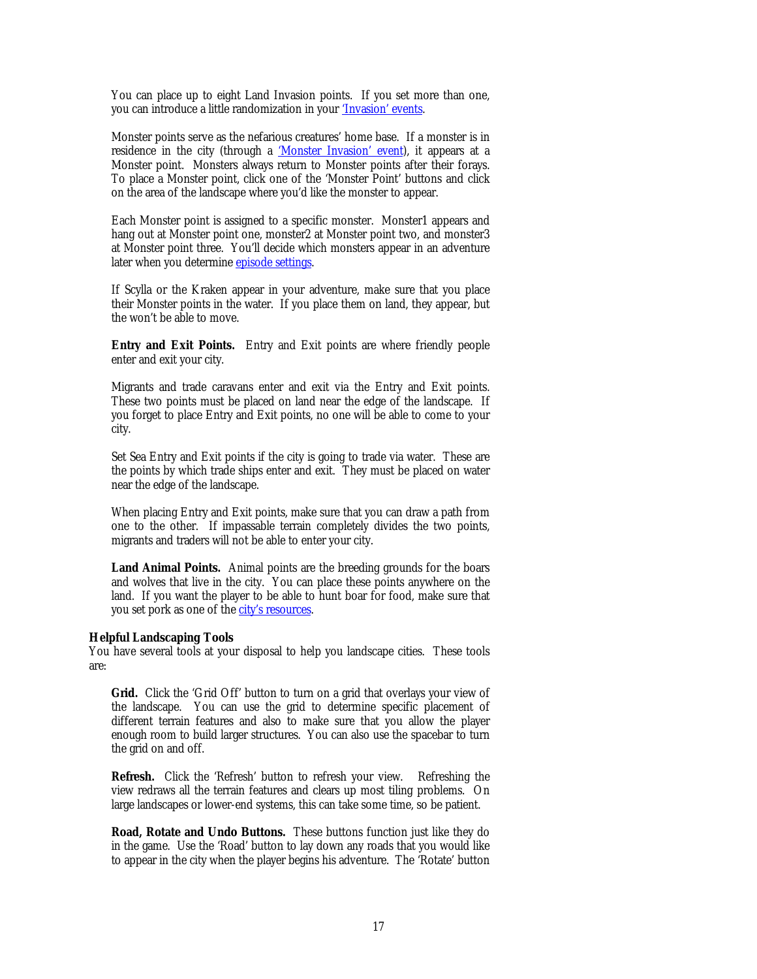You can place up to eight Land Invasion points. If you set more than one, you can introduce a little randomization in your ['Invasion' events.](#page-26-0)

Monster points serve as the nefarious creatures' home base. If a monster is in residence in the city (through a ['Monster Invasion' event\),](#page-27-0) it appears at a Monster point. Monsters always return to Monster points after their forays. To place a Monster point, click one of the 'Monster Point' buttons and click on the area of the landscape where you'd like the monster to appear.

Each Monster point is assigned to a specific monster. Monster1 appears and hang out at Monster point one, monster2 at Monster point two, and monster3 at Monster point three. You'll decide which monsters appear in an adventure later when you determine episode settings.

If Scylla or the Kraken appear in your adventure, make sure that you place their Monster points in the water. If you place them on land, they appear, but the won't be able to move.

**Entry and Exit Points.** Entry and Exit points are where friendly people enter and exit your city.

Migrants and trade caravans enter and exit via the Entry and Exit points. These two points must be placed on land near the edge of the landscape. If you forget to place Entry and Exit points, no one will be able to come to your city.

Set Sea Entry and Exit points if the city is going to trade via water. These are the points by which trade ships enter and exit. They must be placed on water near the edge of the landscape.

When placing Entry and Exit points, make sure that you can draw a path from one to the other. If impassable terrain completely divides the two points, migrants and traders will not be able to enter your city.

**Land Animal Points.** Animal points are the breeding grounds for the boars and wolves that live in the city. You can place these points anywhere on the land. If you want the player to be able to hunt boar for food, make sure that you set pork as one of the city's resources.

#### **Helpful Landscaping Tools**

You have several tools at your disposal to help you landscape cities. These tools are:

Grid. Click the 'Grid Off' button to turn on a grid that overlays your view of the landscape. You can use the grid to determine specific placement of different terrain features and also to make sure that you allow the player enough room to build larger structures. You can also use the spacebar to turn the grid on and off.

**Refresh.** Click the 'Refresh' button to refresh your view. Refreshing the view redraws all the terrain features and clears up most tiling problems. On large landscapes or lower-end systems, this can take some time, so be patient.

**Road, Rotate and Undo Buttons.** These buttons function just like they do in the game. Use the 'Road' button to lay down any roads that you would like to appear in the city when the player begins his adventure. The 'Rotate' button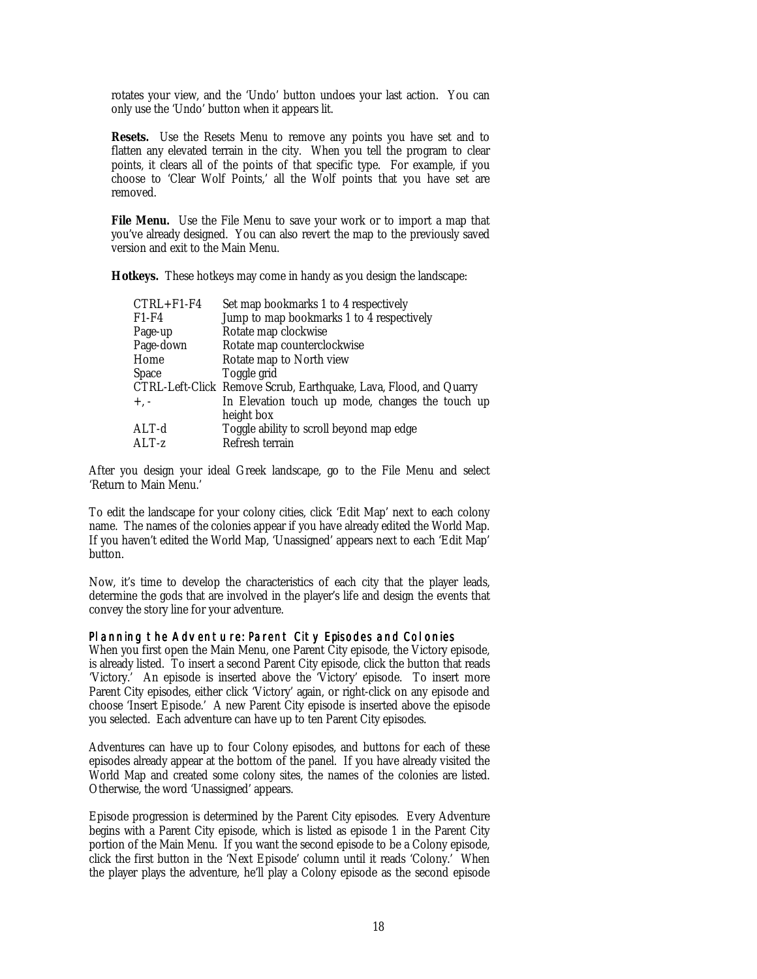rotates your view, and the 'Undo' button undoes your last action. You can only use the 'Undo' button when it appears lit.

**Resets.** Use the Resets Menu to remove any points you have set and to flatten any elevated terrain in the city. When you tell the program to clear points, it clears all of the points of that specific type. For example, if you choose to 'Clear Wolf Points,' all the Wolf points that you have set are removed.

**File Menu.** Use the File Menu to save your work or to import a map that you've already designed. You can also revert the map to the previously saved version and exit to the Main Menu.

**Hotkeys.** These hotkeys may come in handy as you design the landscape:

| $CTRL + F1 - F4$ | Set map bookmarks 1 to 4 respectively                             |
|------------------|-------------------------------------------------------------------|
| $F1-F4$          | Jump to map bookmarks 1 to 4 respectively                         |
| Page-up          | Rotate map clockwise                                              |
| Page-down        | Rotate map counterclockwise                                       |
| Home             | Rotate map to North view                                          |
| <b>Space</b>     | Toggle grid                                                       |
|                  | CTRL-Left-Click Remove Scrub, Earthquake, Lava, Flood, and Quarry |
| $+$ , $-$        | In Elevation touch up mode, changes the touch up                  |
|                  | height box                                                        |
| $ALT-d$          | Toggle ability to scroll beyond map edge                          |
| $ALT-z$          | Refresh terrain                                                   |

After you design your ideal Greek landscape, go to the File Menu and select 'Return to Main Menu.'

To edit the landscape for your colony cities, click 'Edit Map' next to each colony name. The names of the colonies appear if you have already edited the World Map. If you haven't edited the World Map, 'Unassigned' appears next to each 'Edit Map' button.

Now, it's time to develop the characteristics of each city that the player leads, determine the gods that are involved in the player's life and design the events that convey the story line for your adventure.

#### Planning the Adventure: Parent City Episodes and Colonies

When you first open the Main Menu, one Parent City episode, the Victory episode, is already listed. To insert a second Parent City episode, click the button that reads 'Victory.' An episode is inserted above the 'Victory' episode. To insert more Parent City episodes, either click 'Victory' again, or right-click on any episode and choose 'Insert Episode.' A new Parent City episode is inserted above the episode you selected. Each adventure can have up to ten Parent City episodes.

Adventures can have up to four Colony episodes, and buttons for each of these episodes already appear at the bottom of the panel. If you have already visited the World Map and created some colony sites, the names of the colonies are listed. Otherwise, the word 'Unassigned' appears.

Episode progression is determined by the Parent City episodes. Every Adventure begins with a Parent City episode, which is listed as episode 1 in the Parent City portion of the Main Menu. If you want the second episode to be a Colony episode, click the first button in the 'Next Episode' column until it reads 'Colony.' When the player plays the adventure, he'll play a Colony episode as the second episode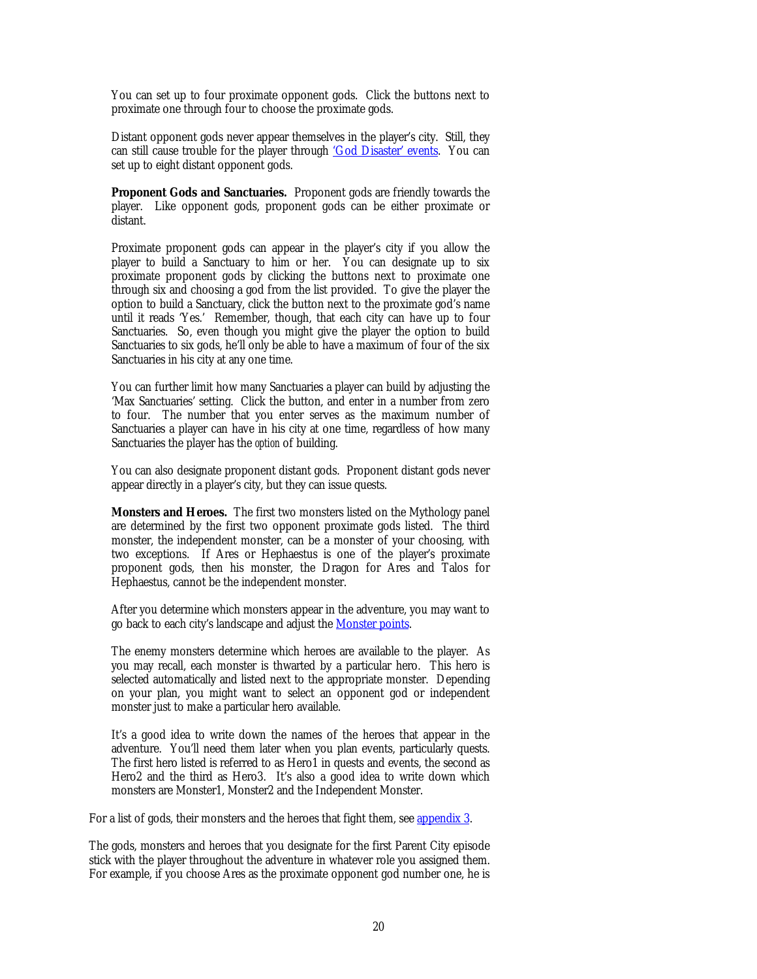<span id="page-19-0"></span>You can set up to four proximate opponent gods. Click the buttons next to proximate one through four to choose the proximate gods.

Distant opponent gods never appear themselves in the player's city. Still, they can still cause trouble for the player through ['God Disaster' events.](#page-29-0) You can set up to eight distant opponent gods.

**Proponent Gods and Sanctuaries.** Proponent gods are friendly towards the player. Like opponent gods, proponent gods can be either proximate or distant.

Proximate proponent gods can appear in the player's city if you allow the player to build a Sanctuary to him or her. You can designate up to six proximate proponent gods by clicking the buttons next to proximate one through six and choosing a god from the list provided. To give the player the option to build a Sanctuary, click the button next to the proximate god's name until it reads 'Yes.' Remember, though, that each city can have up to four Sanctuaries. So, even though you might give the player the option to build Sanctuaries to six gods, he'll only be able to have a maximum of four of the six Sanctuaries in his city at any one time.

You can further limit how many Sanctuaries a player can build by adjusting the 'Max Sanctuaries' setting. Click the button, and enter in a number from zero to four. The number that you enter serves as the maximum number of Sanctuaries a player can have in his city at one time, regardless of how many Sanctuaries the player has the *option* of building.

You can also designate proponent distant gods. Proponent distant gods never appear directly in a player's city, but they can issue quests.

**Monsters and Heroes.** The first two monsters listed on the Mythology panel are determined by the first two opponent proximate gods listed. The third monster, the independent monster, can be a monster of your choosing, with two exceptions. If Ares or Hephaestus is one of the player's proximate proponent gods, then his monster, the Dragon for Ares and Talos for Hephaestus, cannot be the independent monster.

After you determine which monsters appear in the adventure, you may want to go back to each city's landscape and adjust the Monster points.

The enemy monsters determine which heroes are available to the player. As you may recall, each monster is thwarted by a particular hero. This hero is selected automatically and listed next to the appropriate monster. Depending on your plan, you might want to select an opponent god or independent monster just to make a particular hero available.

It's a good idea to write down the names of the heroes that appear in the adventure. You'll need them later when you plan events, particularly quests. The first hero listed is referred to as Hero1 in quests and events, the second as Hero2 and the third as Hero3. It's also a good idea to write down which monsters are Monster1, Monster2 and the Independent Monster.

For a list of gods, their monsters and the heroes that fight them, se[e appendix 3.](#page-42-0)

The gods, monsters and heroes that you designate for the first Parent City episode stick with the player throughout the adventure in whatever role you assigned them. For example, if you choose Ares as the proximate opponent god number one, he is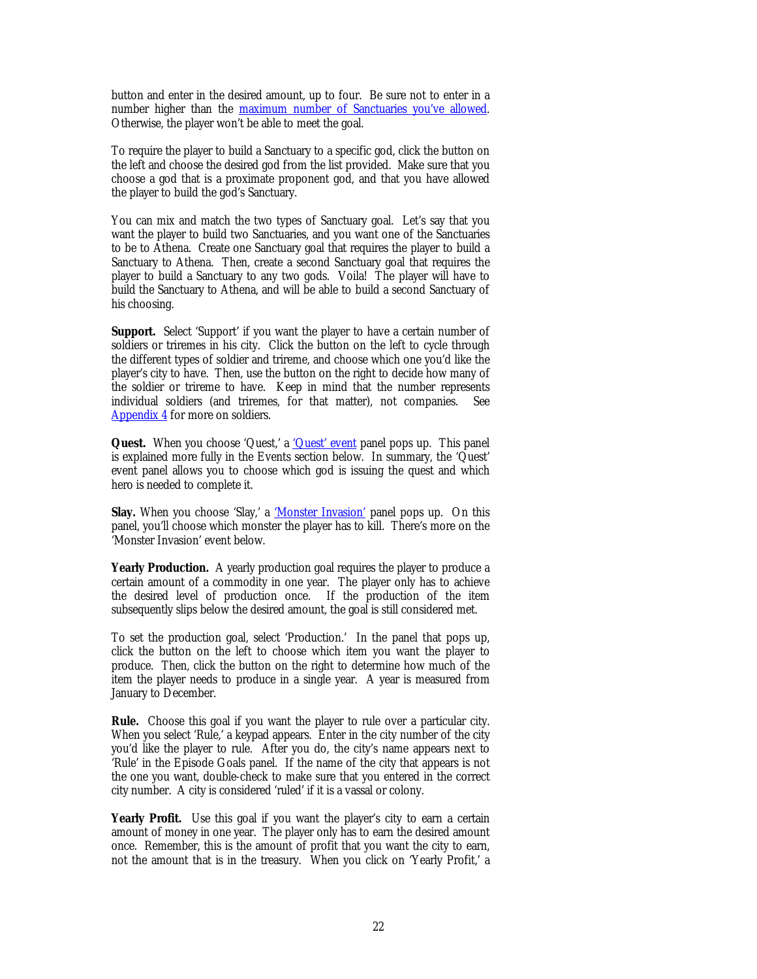button and enter in the desired amount, up to four. Be sure not to enter in a number higher than the maximum number of Sanctuaries you've allowed. Otherwise, the player won't be able to meet the goal.

To require the player to build a Sanctuary to a specific god, click the button on the left and choose the desired god from the list provided. Make sure that you choose a god that is a proximate proponent god, and that you have allowed the player to build the god's Sanctuary.

You can mix and match the two types of Sanctuary goal. Let's say that you want the player to build two Sanctuaries, and you want one of the Sanctuaries to be to Athena. Create one Sanctuary goal that requires the player to build a Sanctuary to Athena. Then, create a second Sanctuary goal that requires the player to build a Sanctuary to any two gods. Voila! The player will have to build the Sanctuary to Athena, and will be able to build a second Sanctuary of his choosing.

**Support.** Select 'Support' if you want the player to have a certain number of soldiers or triremes in his city. Click the button on the left to cycle through the different types of soldier and trireme, and choose which one you'd like the player's city to have. Then, use the button on the right to decide how many of the soldier or trireme to have. Keep in mind that the number represents individual soldiers (and triremes, for that matter), not companies. See [Appendix 4 f](#page-43-0)or more on soldiers.

**Quest.** When you choose 'Quest,' a '*Quest'* event panel pops up. This panel is explained more fully in the Events section below. In summary, the 'Quest' event panel allows you to choose which god is issuing the quest and which hero is needed to complete it.

**Slay.** When you choose 'Slay,' a 'Monster Invasion' panel pops up. On this panel, you'll choose which monster the player has to kill. There's more on the 'Monster Invasion' event below.

**Yearly Production.** A yearly production goal requires the player to produce a certain amount of a commodity in one year. The player only has to achieve the desired level of production once. If the production of the item subsequently slips below the desired amount, the goal is still considered met.

To set the production goal, select 'Production.' In the panel that pops up, click the button on the left to choose which item you want the player to produce. Then, click the button on the right to determine how much of the item the player needs to produce in a single year. A year is measured from January to December.

**Rule.** Choose this goal if you want the player to rule over a particular city. When you select 'Rule,' a keypad appears. Enter in the city number of the city you'd like the player to rule. After you do, the city's name appears next to 'Rule' in the Episode Goals panel. If the name of the city that appears is not the one you want, double-check to make sure that you entered in the correct city number. A city is considered 'ruled' if it is a vassal or colony.

Yearly Profit. Use this goal if you want the player's city to earn a certain amount of money in one year. The player only has to earn the desired amount once. Remember, this is the amount of profit that you want the city to earn, not the amount that is in the treasury. When you click on 'Yearly Profit,' a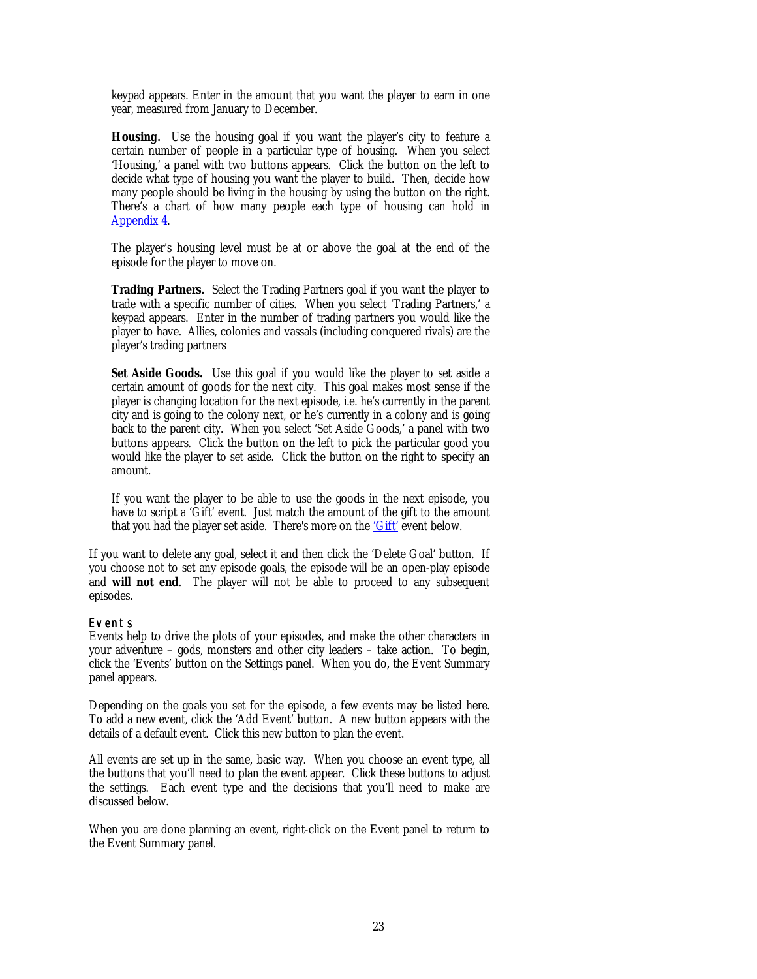keypad appears. Enter in the amount that you want the player to earn in one year, measured from January to December.

Housing. Use the housing goal if you want the player's city to feature a certain number of people in a particular type of housing. When you select 'Housing,' a panel with two buttons appears. Click the button on the left to decide what type of housing you want the player to build. Then, decide how many people should be living in the housing by using the button on the right. There's a chart of how many people each type of housing can hold in [Appendix 4.](#page-43-0)

The player's housing level must be at or above the goal at the end of the episode for the player to move on.

**Trading Partners.** Select the Trading Partners goal if you want the player to trade with a specific number of cities. When you select 'Trading Partners,' a keypad appears. Enter in the number of trading partners you would like the player to have. Allies, colonies and vassals (including conquered rivals) are the player's trading partners

Set Aside Goods. Use this goal if you would like the player to set aside a certain amount of goods for the next city. This goal makes most sense if the player is changing location for the next episode, i.e. he's currently in the parent city and is going to the colony next, or he's currently in a colony and is going back to the parent city. When you select 'Set Aside Goods,' a panel with two buttons appears. Click the button on the left to pick the particular good you would like the player to set aside. Click the button on the right to specify an amount.

If you want the player to be able to use the goods in the next episode, you have to script a 'Gift' event. Just match the amount of the gift to the amount that you had the player set aside. There's more on the 'Gift' event below.

If you want to delete any goal, select it and then click the 'Delete Goal' button. If you choose not to set any episode goals, the episode will be an open-play episode and **will not end**. The player will not be able to proceed to any subsequent episodes.

## Events

Events help to drive the plots of your episodes, and make the other characters in your adventure – gods, monsters and other city leaders – take action. To begin, click the 'Events' button on the Settings panel. When you do, the Event Summary panel appears.

Depending on the goals you set for the episode, a few events may be listed here. To add a new event, click the 'Add Event' button. A new button appears with the details of a default event. Click this new button to plan the event.

All events are set up in the same, basic way. When you choose an event type, all the buttons that you'll need to plan the event appear. Click these buttons to adjust the settings. Each event type and the decisions that you'll need to make are discussed below.

When you are done planning an event, right-click on the Event panel to return to the Event Summary panel.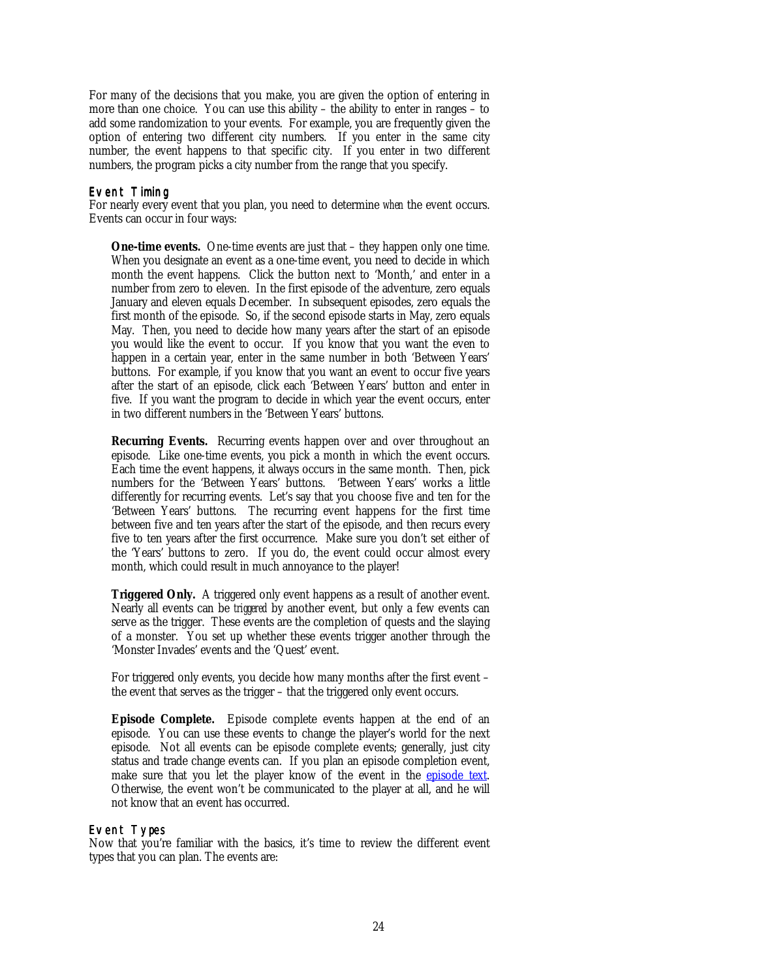For many of the decisions that you make, you are given the option of entering in more than one choice. You can use this ability – the ability to enter in ranges – to add some randomization to your events. For example, you are frequently given the option of entering two different city numbers. If you enter in the same city number, the event happens to that specific city. If you enter in two different numbers, the program picks a city number from the range that you specify.

#### Event Timing

For nearly every event that you plan, you need to determine *when* the event occurs. Events can occur in four ways:

**One-time events.** One-time events are just that – they happen only one time. When you designate an event as a one-time event, you need to decide in which month the event happens. Click the button next to 'Month,' and enter in a number from zero to eleven. In the first episode of the adventure, zero equals January and eleven equals December. In subsequent episodes, zero equals the first month of the episode. So, if the second episode starts in May, zero equals May. Then, you need to decide how many years after the start of an episode you would like the event to occur. If you know that you want the even to happen in a certain year, enter in the same number in both 'Between Years' buttons. For example, if you know that you want an event to occur five years after the start of an episode, click each 'Between Years' button and enter in five. If you want the program to decide in which year the event occurs, enter in two different numbers in the 'Between Years' buttons.

**Recurring Events.** Recurring events happen over and over throughout an episode. Like one-time events, you pick a month in which the event occurs. Each time the event happens, it always occurs in the same month. Then, pick numbers for the 'Between Years' buttons. 'Between Years' works a little differently for recurring events. Let's say that you choose five and ten for the 'Between Years' buttons. The recurring event happens for the first time between five and ten years after the start of the episode, and then recurs every five to ten years after the first occurrence. Make sure you don't set either of the 'Years' buttons to zero. If you do, the event could occur almost every month, which could result in much annoyance to the player!

**Triggered Only.** A triggered only event happens as a result of another event. Nearly all events can be *triggered* by another event, but only a few events can serve as the trigger. These events are the completion of quests and the slaying of a monster. You set up whether these events trigger another through the 'Monster Invades' events and the 'Quest' event.

For triggered only events, you decide how many months after the first event – the event that serves as the trigger – that the triggered only event occurs.

**Episode Complete.** Episode complete events happen at the end of an episode. You can use these events to change the player's world for the next episode. Not all events can be episode complete events; generally, just city status and trade change events can. If you plan an episode completion event, make sure that you let the player know of the event in the episode text. Otherwise, the event won't be communicated to the player at all, and he will not know that an event has occurred.

## Event Types

Now that you're familiar with the basics, it's time to review the different event types that you can plan. The events are: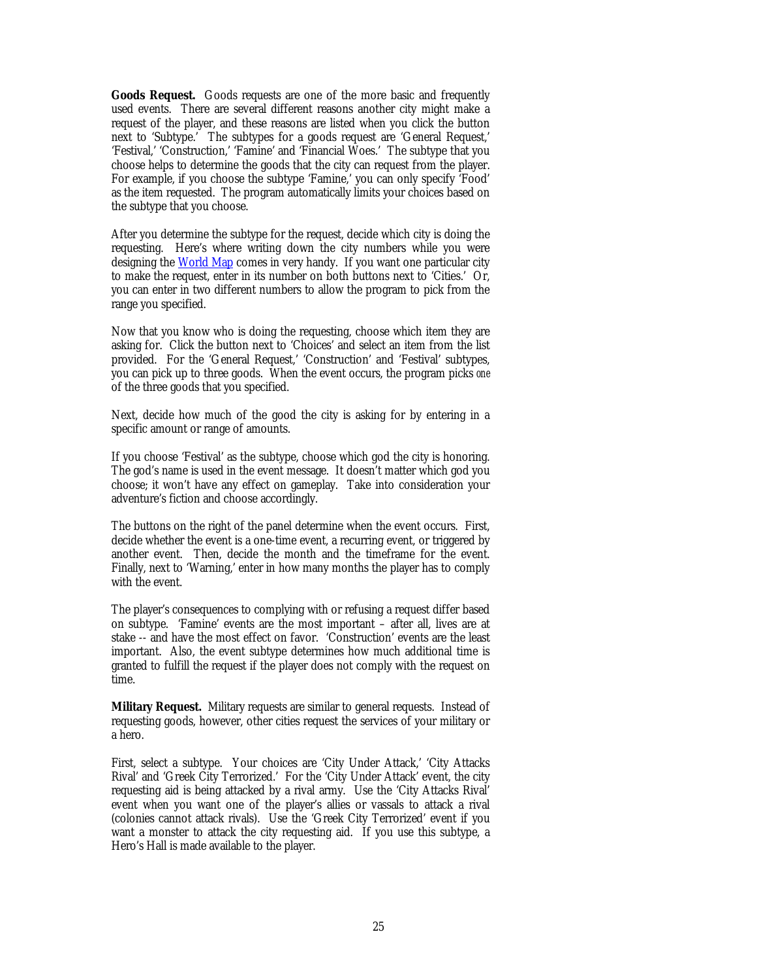<span id="page-24-0"></span>**Goods Request.** Goods requests are one of the more basic and frequently used events. There are several different reasons another city might make a request of the player, and these reasons are listed when you click the button next to 'Subtype.' The subtypes for a goods request are 'General Request,' 'Festival,' 'Construction,' 'Famine' and 'Financial Woes.' The subtype that you choose helps to determine the goods that the city can request from the player. For example, if you choose the subtype 'Famine,' you can only specify 'Food' as the item requested. The program automatically limits your choices based on the subtype that you choose.

After you determine the subtype for the request, decide which city is doing the requesting. Here's where writing down the city numbers while you were designing the [World Map](#page-4-0) comes in very handy. If you want one particular city to make the request, enter in its number on both buttons next to 'Cities.' Or, you can enter in two different numbers to allow the program to pick from the range you specified.

Now that you know who is doing the requesting, choose which item they are asking for. Click the button next to 'Choices' and select an item from the list provided. For the 'General Request,' 'Construction' and 'Festival' subtypes, you can pick up to three goods. When the event occurs, the program picks *one* of the three goods that you specified.

Next, decide how much of the good the city is asking for by entering in a specific amount or range of amounts.

If you choose 'Festival' as the subtype, choose which god the city is honoring. The god's name is used in the event message. It doesn't matter which god you choose; it won't have any effect on gameplay. Take into consideration your adventure's fiction and choose accordingly.

The buttons on the right of the panel determine when the event occurs. First, decide whether the event is a one-time event, a recurring event, or triggered by another event. Then, decide the month and the timeframe for the event. Finally, next to 'Warning,' enter in how many months the player has to comply with the event.

The player's consequences to complying with or refusing a request differ based on subtype. 'Famine' events are the most important – after all, lives are at stake -- and have the most effect on favor. 'Construction' events are the least important. Also, the event subtype determines how much additional time is granted to fulfill the request if the player does not comply with the request on time.

**Military Request.** Military requests are similar to general requests. Instead of requesting goods, however, other cities request the services of your military or a hero.

First, select a subtype. Your choices are 'City Under Attack,' 'City Attacks Rival' and 'Greek City Terrorized.' For the 'City Under Attack' event, the city requesting aid is being attacked by a rival army. Use the 'City Attacks Rival' event when you want one of the player's allies or vassals to attack a rival (colonies cannot attack rivals). Use the 'Greek City Terrorized' event if you want a monster to attack the city requesting aid. If you use this subtype, a Hero's Hall is made available to the player.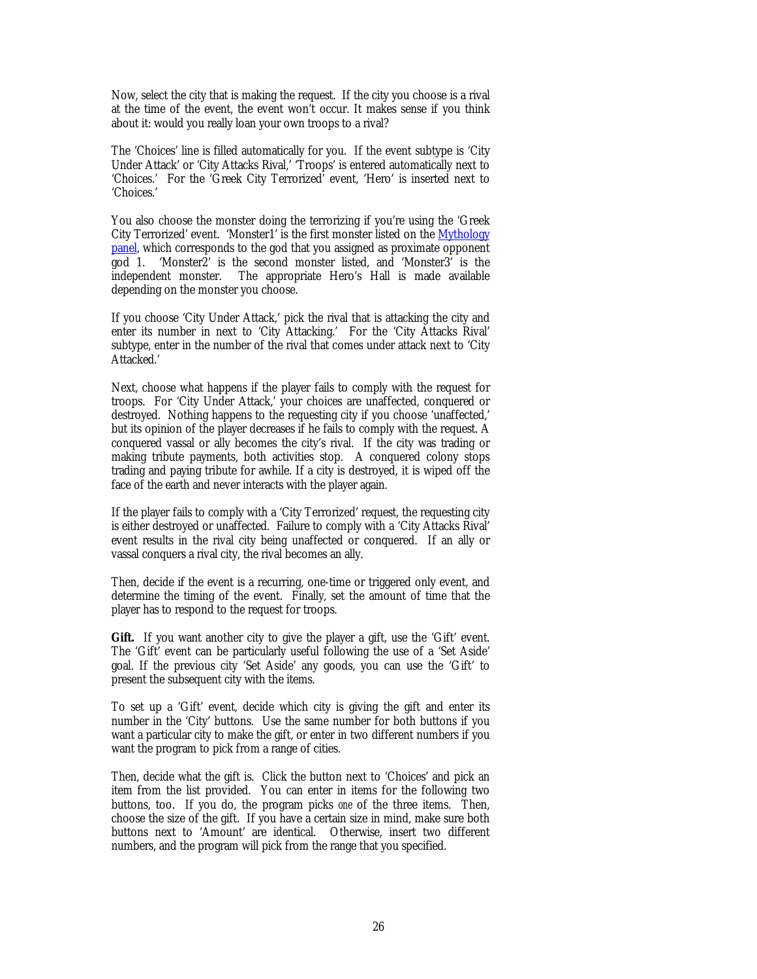Now, select the city that is making the request. If the city you choose is a rival at the time of the event, the event won't occur. It makes sense if you think about it: would you really loan your own troops to a rival?

The 'Choices' line is filled automatically for you. If the event subtype is 'City Under Attack' or 'City Attacks Rival,' 'Troops' is entered automatically next to 'Choices.' For the 'Greek City Terrorized' event, 'Hero' is inserted next to 'Choices.'

You also choose the monster doing the terrorizing if you're using the 'Greek City Terrorized' event. 'Monster1' is the first monster listed on the [Mythology](#page-18-0) [panel,](#page-18-0) which corresponds to the god that you assigned as proximate opponent god 1. 'Monster2' is the second monster listed, and 'Monster3' is the independent monster. The appropriate Hero's Hall is made available depending on the monster you choose.

If you choose 'City Under Attack,' pick the rival that is attacking the city and enter its number in next to 'City Attacking.' For the 'City Attacks Rival' subtype, enter in the number of the rival that comes under attack next to 'City Attacked.'

Next, choose what happens if the player fails to comply with the request for troops. For 'City Under Attack,' your choices are unaffected, conquered or destroyed. Nothing happens to the requesting city if you choose 'unaffected,' but its opinion of the player decreases if he fails to comply with the request. A conquered vassal or ally becomes the city's rival. If the city was trading or making tribute payments, both activities stop. A conquered colony stops trading and paying tribute for awhile. If a city is destroyed, it is wiped off the face of the earth and never interacts with the player again.

If the player fails to comply with a 'City Terrorized' request, the requesting city is either destroyed or unaffected. Failure to comply with a 'City Attacks Rival' event results in the rival city being unaffected or conquered. If an ally or vassal conquers a rival city, the rival becomes an ally.

Then, decide if the event is a recurring, one-time or triggered only event, and determine the timing of the event. Finally, set the amount of time that the player has to respond to the request for troops.

Gift. If you want another city to give the player a gift, use the 'Gift' event. The 'Gift' event can be particularly useful following the use of a 'Set Aside' goal. If the previous city 'Set Aside' any goods, you can use the 'Gift' to present the subsequent city with the items.

To set up a 'Gift' event, decide which city is giving the gift and enter its number in the 'City' buttons. Use the same number for both buttons if you want a particular city to make the gift, or enter in two different numbers if you want the program to pick from a range of cities.

Then, decide what the gift is. Click the button next to 'Choices' and pick an item from the list provided. You can enter in items for the following two buttons, too. If you do, the program picks *one* of the three items. Then, choose the size of the gift. If you have a certain size in mind, make sure both buttons next to 'Amount' are identical. Otherwise, insert two different numbers, and the program will pick from the range that you specified.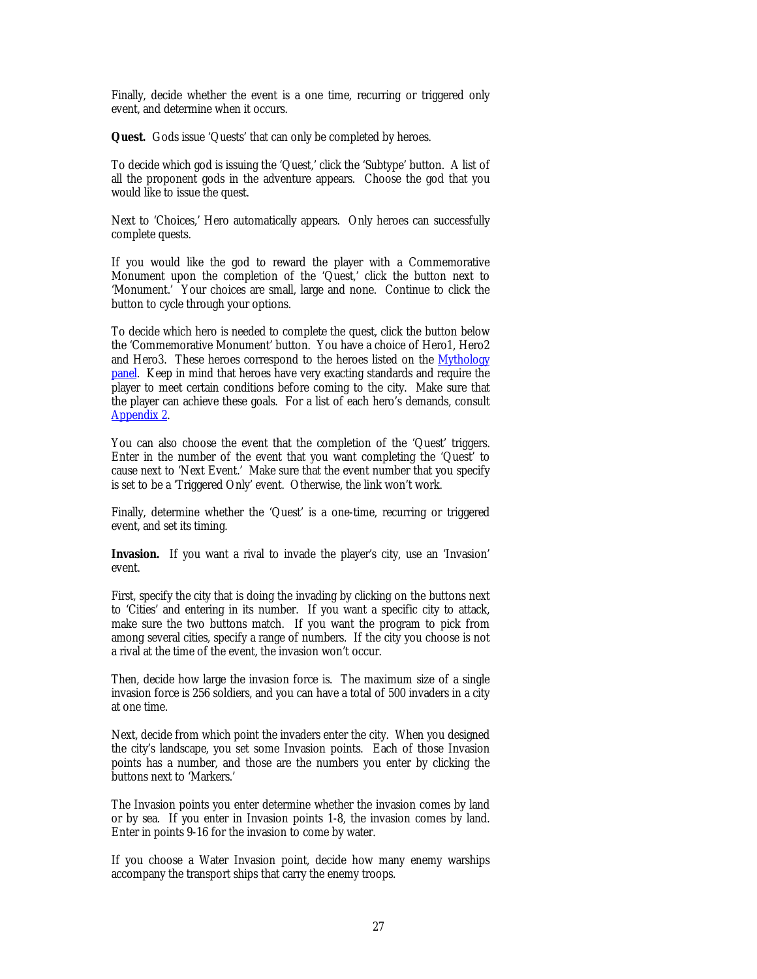<span id="page-26-0"></span>Finally, decide whether the event is a one time, recurring or triggered only event, and determine when it occurs.

**Quest.** Gods issue 'Quests' that can only be completed by heroes.

To decide which god is issuing the 'Quest,' click the 'Subtype' button. A list of all the proponent gods in the adventure appears. Choose the god that you would like to issue the quest.

Next to 'Choices,' Hero automatically appears. Only heroes can successfully complete quests.

If you would like the god to reward the player with a Commemorative Monument upon the completion of the 'Quest,' click the button next to 'Monument.' Your choices are small, large and none. Continue to click the button to cycle through your options.

To decide which hero is needed to complete the quest, click the button below the 'Commemorative Monument' button. You have a choice of Hero1, Hero2 and Hero3. These heroes correspond to the heroes listed on the [Mythology](#page-18-0) [panel.](#page-18-0) Keep in mind that heroes have very exacting standards and require the player to meet certain conditions before coming to the city. Make sure that the player can achieve these goals. For a list of each hero's demands, consult [Appendix 2.](#page-38-0)

You can also choose the event that the completion of the 'Quest' triggers. Enter in the number of the event that you want completing the 'Quest' to cause next to 'Next Event.' Make sure that the event number that you specify is set to be a 'Triggered Only' event. Otherwise, the link won't work.

Finally, determine whether the 'Quest' is a one-time, recurring or triggered event, and set its timing.

**Invasion.** If you want a rival to invade the player's city, use an 'Invasion' event.

First, specify the city that is doing the invading by clicking on the buttons next to 'Cities' and entering in its number. If you want a specific city to attack, make sure the two buttons match. If you want the program to pick from among several cities, specify a range of numbers. If the city you choose is not a rival at the time of the event, the invasion won't occur.

Then, decide how large the invasion force is. The maximum size of a single invasion force is 256 soldiers, and you can have a total of 500 invaders in a city at one time.

Next, decide from which point the invaders enter the city. When you designed the city's landscape, you set some Invasion points. Each of those Invasion points has a number, and those are the numbers you enter by clicking the buttons next to 'Markers.'

The Invasion points you enter determine whether the invasion comes by land or by sea. If you enter in Invasion points 1-8, the invasion comes by land. Enter in points 9-16 for the invasion to come by water.

If you choose a Water Invasion point, decide how many enemy warships accompany the transport ships that carry the enemy troops.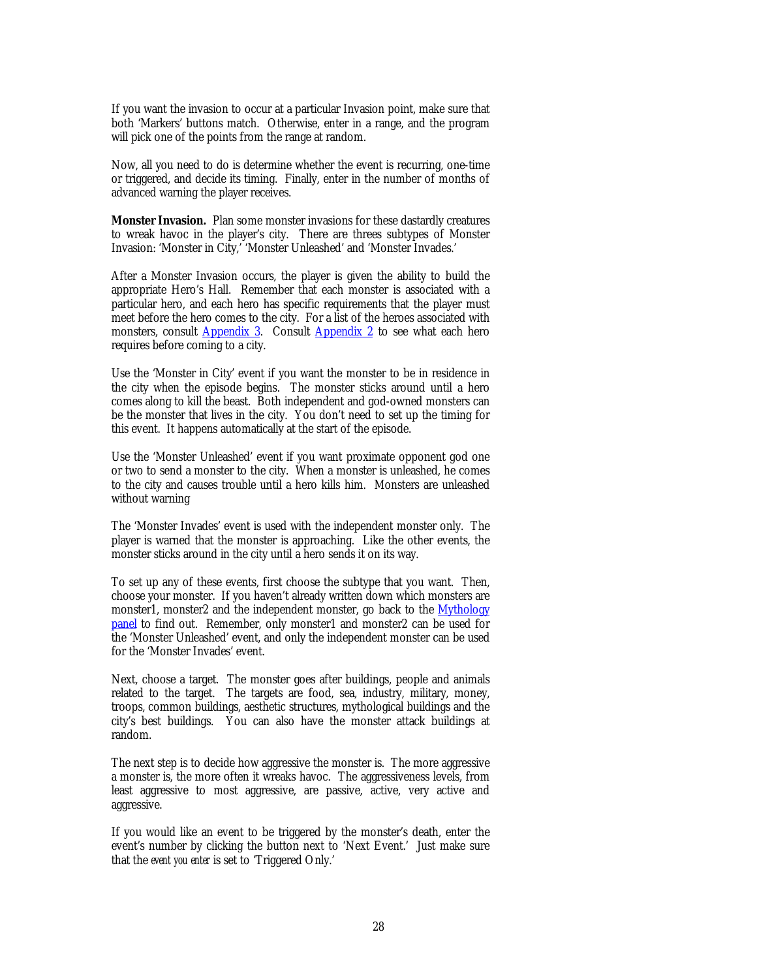<span id="page-27-0"></span>If you want the invasion to occur at a particular Invasion point, make sure that both 'Markers' buttons match. Otherwise, enter in a range, and the program will pick one of the points from the range at random.

Now, all you need to do is determine whether the event is recurring, one-time or triggered, and decide its timing. Finally, enter in the number of months of advanced warning the player receives.

**Monster Invasion.** Plan some monster invasions for these dastardly creatures to wreak havoc in the player's city. There are threes subtypes of Monster Invasion: 'Monster in City,' 'Monster Unleashed' and 'Monster Invades.'

After a Monster Invasion occurs, the player is given the ability to build the appropriate Hero's Hall. Remember that each monster is associated with a particular hero, and each hero has specific requirements that the player must meet before the hero comes to the city. For a list of the heroes associated with monsters, consult [Appendix 3.](#page-42-0) Consult [Appendix 2 t](#page-38-0)o see what each hero requires before coming to a city.

Use the 'Monster in City' event if you want the monster to be in residence in the city when the episode begins. The monster sticks around until a hero comes along to kill the beast. Both independent and god-owned monsters can be the monster that lives in the city. You don't need to set up the timing for this event. It happens automatically at the start of the episode.

Use the 'Monster Unleashed' event if you want proximate opponent god one or two to send a monster to the city. When a monster is unleashed, he comes to the city and causes trouble until a hero kills him. Monsters are unleashed without warning

The 'Monster Invades' event is used with the independent monster only. The player is warned that the monster is approaching. Like the other events, the monster sticks around in the city until a hero sends it on its way.

To set up any of these events, first choose the subtype that you want. Then, choose your monster. If you haven't already written down which monsters are monster1, monster2 and the independent monster, go back to the [Mythology](#page-18-0) [panel](#page-18-0) to find out. Remember, only monster1 and monster2 can be used for the 'Monster Unleashed' event, and only the independent monster can be used for the 'Monster Invades' event.

Next, choose a target. The monster goes after buildings, people and animals related to the target. The targets are food, sea, industry, military, money, troops, common buildings, aesthetic structures, mythological buildings and the city's best buildings. You can also have the monster attack buildings at random.

The next step is to decide how aggressive the monster is. The more aggressive a monster is, the more often it wreaks havoc. The aggressiveness levels, from least aggressive to most aggressive, are passive, active, very active and aggressive.

If you would like an event to be triggered by the monster's death, enter the event's number by clicking the button next to 'Next Event.' Just make sure that the *event you enter* is set to 'Triggered Only.'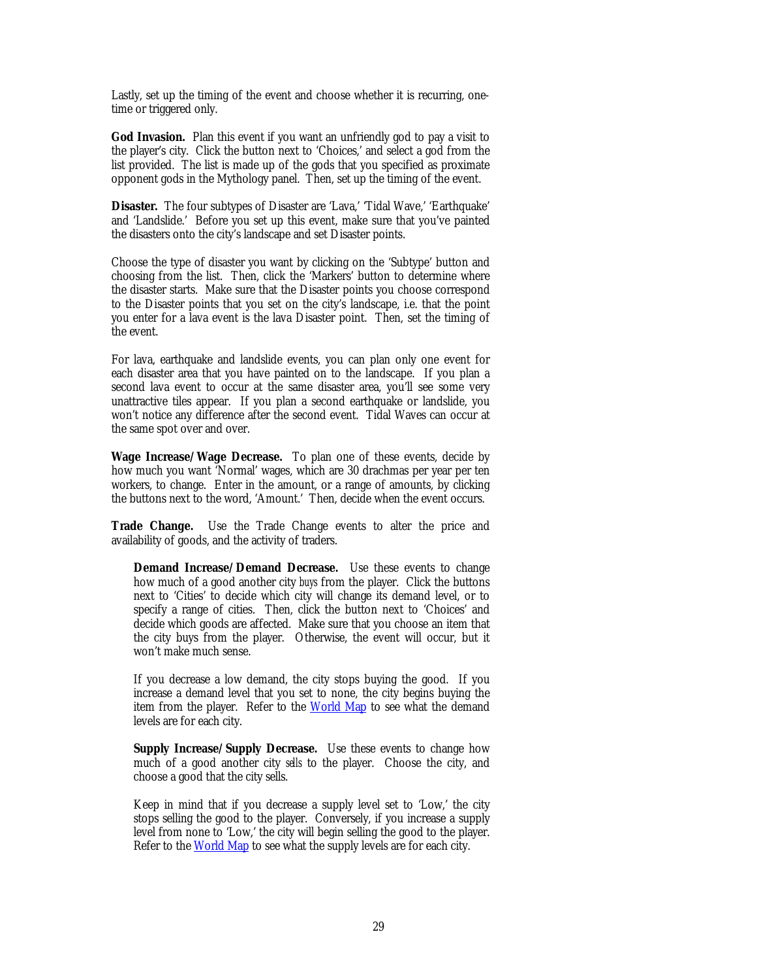Lastly, set up the timing of the event and choose whether it is recurring, onetime or triggered only.

**God Invasion.** Plan this event if you want an unfriendly god to pay a visit to the player's city. Click the button next to 'Choices,' and select a god from the list provided. The list is made up of the gods that you specified as proximate opponent gods in the Mythology panel. Then, set up the timing of the event.

**Disaster.** The four subtypes of Disaster are 'Lava,' 'Tidal Wave,' 'Earthquake' and 'Landslide.' Before you set up this event, make sure that you've painted the disasters onto the city's landscape and set Disaster points.

Choose the type of disaster you want by clicking on the 'Subtype' button and choosing from the list. Then, click the 'Markers' button to determine where the disaster starts. Make sure that the Disaster points you choose correspond to the Disaster points that you set on the city's landscape, i.e. that the point you enter for a lava event is the lava Disaster point. Then, set the timing of the event.

For lava, earthquake and landslide events, you can plan only one event for each disaster area that you have painted on to the landscape. If you plan a second lava event to occur at the same disaster area, you'll see some very unattractive tiles appear. If you plan a second earthquake or landslide, you won't notice any difference after the second event. Tidal Waves can occur at the same spot over and over.

**Wage Increase/Wage Decrease.** To plan one of these events, decide by how much you want 'Normal' wages, which are 30 drachmas per year per ten workers, to change. Enter in the amount, or a range of amounts, by clicking the buttons next to the word, 'Amount.' Then, decide when the event occurs.

**Trade Change.** Use the Trade Change events to alter the price and availability of goods, and the activity of traders.

**Demand Increase/Demand Decrease.** Use these events to change how much of a good another city *buys* from the player. Click the buttons next to 'Cities' to decide which city will change its demand level, or to specify a range of cities. Then, click the button next to 'Choices' and decide which goods are affected. Make sure that you choose an item that the city buys from the player. Otherwise, the event will occur, but it won't make much sense.

If you decrease a low demand, the city stops buying the good. If you increase a demand level that you set to none, the city begins buying the item from the player. Refer to the [World Map](#page-4-0) to see what the demand levels are for each city.

**Supply Increase/Supply Decrease.** Use these events to change how much of a good another city *sells* to the player. Choose the city, and choose a good that the city sells.

Keep in mind that if you decrease a supply level set to 'Low,' the city stops selling the good to the player. Conversely, if you increase a supply level from none to 'Low,' the city will begin selling the good to the player. Refer to the [World Map](#page-4-0) to see what the supply levels are for each city.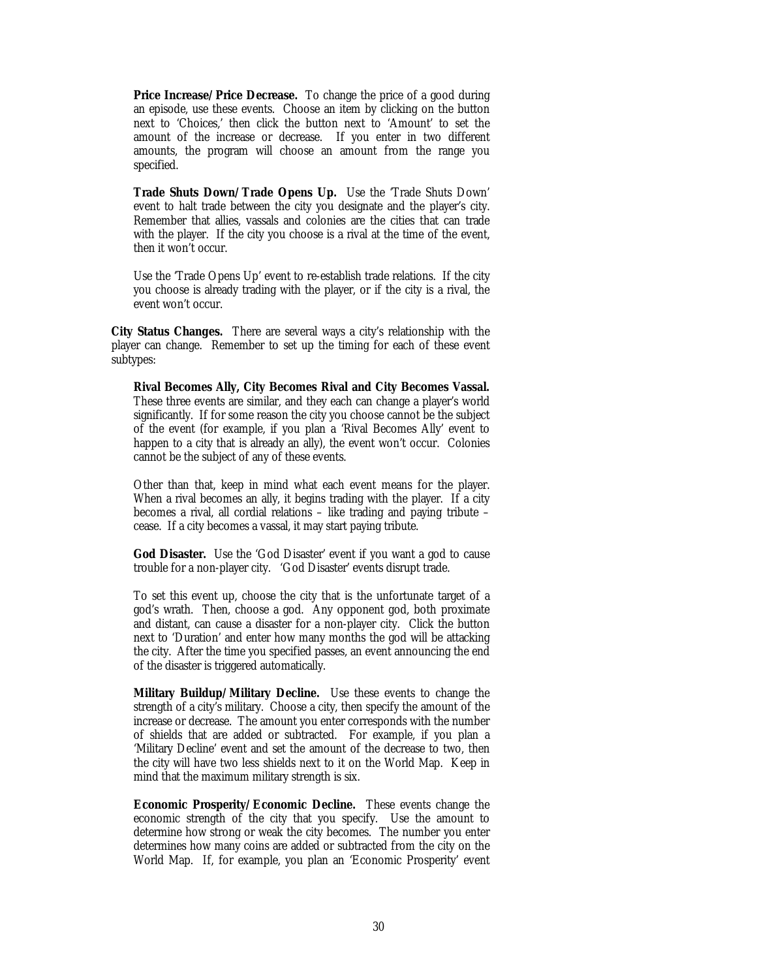<span id="page-29-0"></span>**Price Increase/Price Decrease.** To change the price of a good during an episode, use these events. Choose an item by clicking on the button next to 'Choices,' then click the button next to 'Amount' to set the amount of the increase or decrease. If you enter in two different amounts, the program will choose an amount from the range you specified.

**Trade Shuts Down/Trade Opens Up.** Use the 'Trade Shuts Down' event to halt trade between the city you designate and the player's city. Remember that allies, vassals and colonies are the cities that can trade with the player. If the city you choose is a rival at the time of the event, then it won't occur.

Use the 'Trade Opens Up' event to re-establish trade relations. If the city you choose is already trading with the player, or if the city is a rival, the event won't occur.

**City Status Changes.** There are several ways a city's relationship with the player can change. Remember to set up the timing for each of these event subtypes:

**Rival Becomes Ally, City Becomes Rival and City Becomes Vassal.** These three events are similar, and they each can change a player's world significantly. If for some reason the city you choose cannot be the subject of the event (for example, if you plan a 'Rival Becomes Ally' event to happen to a city that is already an ally), the event won't occur. Colonies cannot be the subject of any of these events.

Other than that, keep in mind what each event means for the player. When a rival becomes an ally, it begins trading with the player. If a city becomes a rival, all cordial relations – like trading and paying tribute – cease. If a city becomes a vassal, it may start paying tribute.

**God Disaster.** Use the 'God Disaster' event if you want a god to cause trouble for a non-player city. 'God Disaster' events disrupt trade.

To set this event up, choose the city that is the unfortunate target of a god's wrath. Then, choose a god. Any opponent god, both proximate and distant, can cause a disaster for a non-player city. Click the button next to 'Duration' and enter how many months the god will be attacking the city. After the time you specified passes, an event announcing the end of the disaster is triggered automatically.

**Military Buildup/Military Decline.** Use these events to change the strength of a city's military. Choose a city, then specify the amount of the increase or decrease. The amount you enter corresponds with the number of shields that are added or subtracted. For example, if you plan a 'Military Decline' event and set the amount of the decrease to two, then the city will have two less shields next to it on the World Map. Keep in mind that the maximum military strength is six.

**Economic Prosperity/Economic Decline.** These events change the economic strength of the city that you specify. Use the amount to determine how strong or weak the city becomes. The number you enter determines how many coins are added or subtracted from the city on the World Map. If, for example, you plan an 'Economic Prosperity' event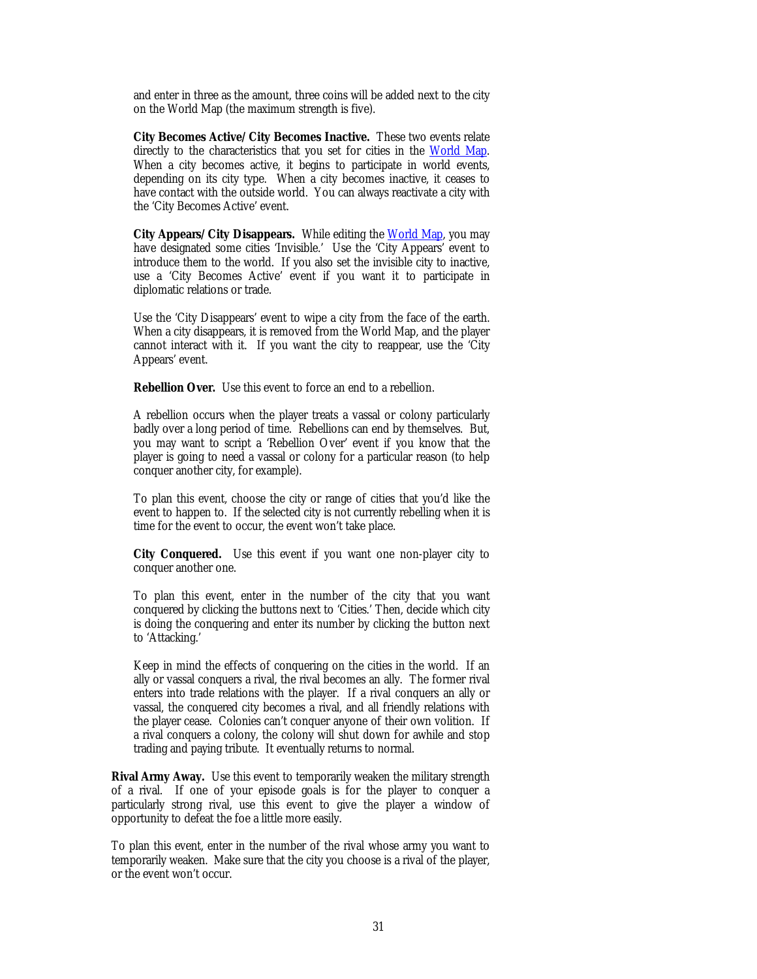and enter in three as the amount, three coins will be added next to the city on the World Map (the maximum strength is five).

**City Becomes Active/City Becomes Inactive.** These two events relate directly to the characteristics that you set for cities in the World Map. When a city becomes active, it begins to participate in world events, depending on its city type. When a city becomes inactive, it ceases to have contact with the outside world. You can always reactivate a city with the 'City Becomes Active' event.

**City Appears/City Disappears.** While editing the World Map, you may have designated some cities 'Invisible.' Use the 'City Appears' event to introduce them to the world. If you also set the invisible city to inactive, use a 'City Becomes Active' event if you want it to participate in diplomatic relations or trade.

Use the 'City Disappears' event to wipe a city from the face of the earth. When a city disappears, it is removed from the World Map, and the player cannot interact with it. If you want the city to reappear, use the 'City Appears' event.

**Rebellion Over.** Use this event to force an end to a rebellion.

A rebellion occurs when the player treats a vassal or colony particularly badly over a long period of time. Rebellions can end by themselves. But, you may want to script a 'Rebellion Over' event if you know that the player is going to need a vassal or colony for a particular reason (to help conquer another city, for example).

To plan this event, choose the city or range of cities that you'd like the event to happen to. If the selected city is not currently rebelling when it is time for the event to occur, the event won't take place.

**City Conquered.** Use this event if you want one non-player city to conquer another one.

To plan this event, enter in the number of the city that you want conquered by clicking the buttons next to 'Cities.' Then, decide which city is doing the conquering and enter its number by clicking the button next to 'Attacking.'

Keep in mind the effects of conquering on the cities in the world. If an ally or vassal conquers a rival, the rival becomes an ally. The former rival enters into trade relations with the player. If a rival conquers an ally or vassal, the conquered city becomes a rival, and all friendly relations with the player cease. Colonies can't conquer anyone of their own volition. If a rival conquers a colony, the colony will shut down for awhile and stop trading and paying tribute. It eventually returns to normal.

**Rival Army Away.** Use this event to temporarily weaken the military strength of a rival. If one of your episode goals is for the player to conquer a particularly strong rival, use this event to give the player a window of opportunity to defeat the foe a little more easily.

To plan this event, enter in the number of the rival whose army you want to temporarily weaken. Make sure that the city you choose is a rival of the player, or the event won't occur.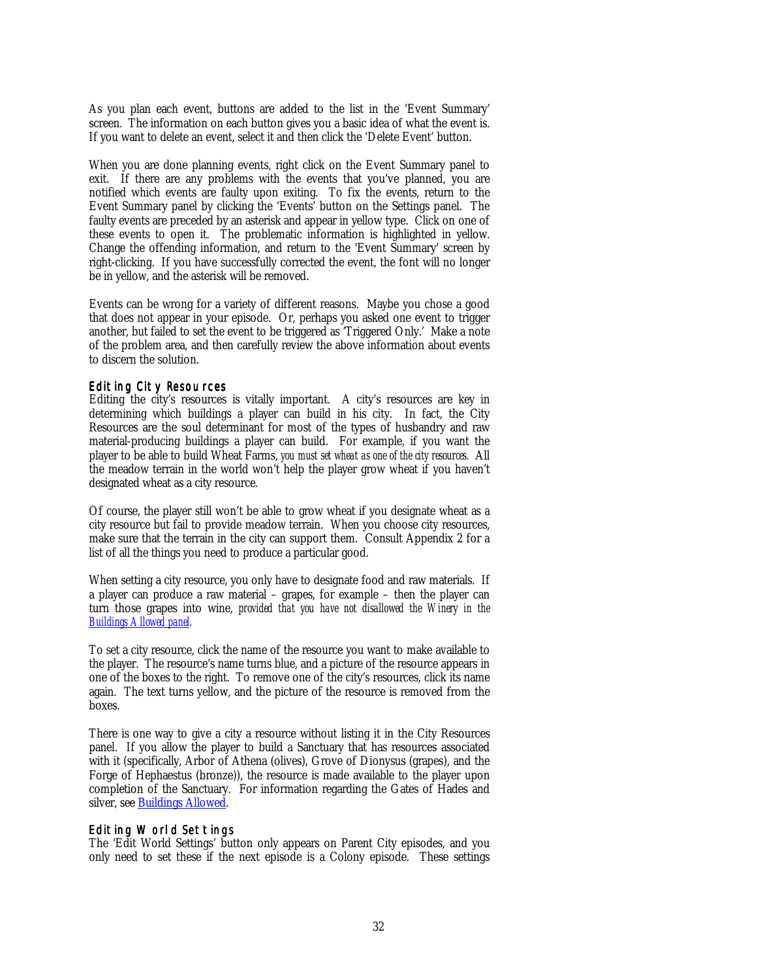<span id="page-31-0"></span>As you plan each event, buttons are added to the list in the 'Event Summary' screen. The information on each button gives you a basic idea of what the event is. If you want to delete an event, select it and then click the 'Delete Event' button.

When you are done planning events, right click on the Event Summary panel to exit. If there are any problems with the events that you've planned, you are notified which events are faulty upon exiting. To fix the events, return to the Event Summary panel by clicking the 'Events' button on the Settings panel. The faulty events are preceded by an asterisk and appear in yellow type. Click on one of these events to open it. The problematic information is highlighted in yellow. Change the offending information, and return to the 'Event Summary' screen by right-clicking. If you have successfully corrected the event, the font will no longer be in yellow, and the asterisk will be removed.

Events can be wrong for a variety of different reasons. Maybe you chose a good that does not appear in your episode. Or, perhaps you asked one event to trigger another, but failed to set the event to be triggered as 'Triggered Only.' Make a note of the problem area, and then carefully review the above information about events to discern the solution.

#### Editing City Resources

Editing the city's resources is vitally important. A city's resources are key in determining which buildings a player can build in his city. In fact, the City Resources are the soul determinant for most of the types of husbandry and raw material-producing buildings a player can build. For example, if you want the player to be able to build Wheat Farms, *you must set wheat as one of the city resources.* All the meadow terrain in the world won't help the player grow wheat if you haven't designated wheat as a city resource.

Of course, the player still won't be able to grow wheat if you designate wheat as a city resource but fail to provide meadow terrain. When you choose city resources, make sure that the terrain in the city can support them. Consult Appendix 2 for a list of all the things you need to produce a particular good.

When setting a city resource, you only have to designate food and raw materials. If a player can produce a raw material – grapes, for example – then the player can turn those grapes into wine, *provided that you have not disallowed the Winery in the Buildings Allowed panel.*

To set a city resource, click the name of the resource you want to make available to the player. The resource's name turns blue, and a picture of the resource appears in one of the boxes to the right. To remove one of the city's resources, click its name again. The text turns yellow, and the picture of the resource is removed from the boxes.

There is one way to give a city a resource without listing it in the City Resources panel. If you allow the player to build a Sanctuary that has resources associated with it (specifically, Arbor of Athena (olives), Grove of Dionysus (grapes), and the Forge of Hephaestus (bronze)), the resource is made available to the player upon completion of the Sanctuary. For information regarding the Gates of Hades and silver, see Buildings Allowed.

## Editing World Settings

The 'Edit World Settings' button only appears on Parent City episodes, and you only need to set these if the next episode is a Colony episode. These settings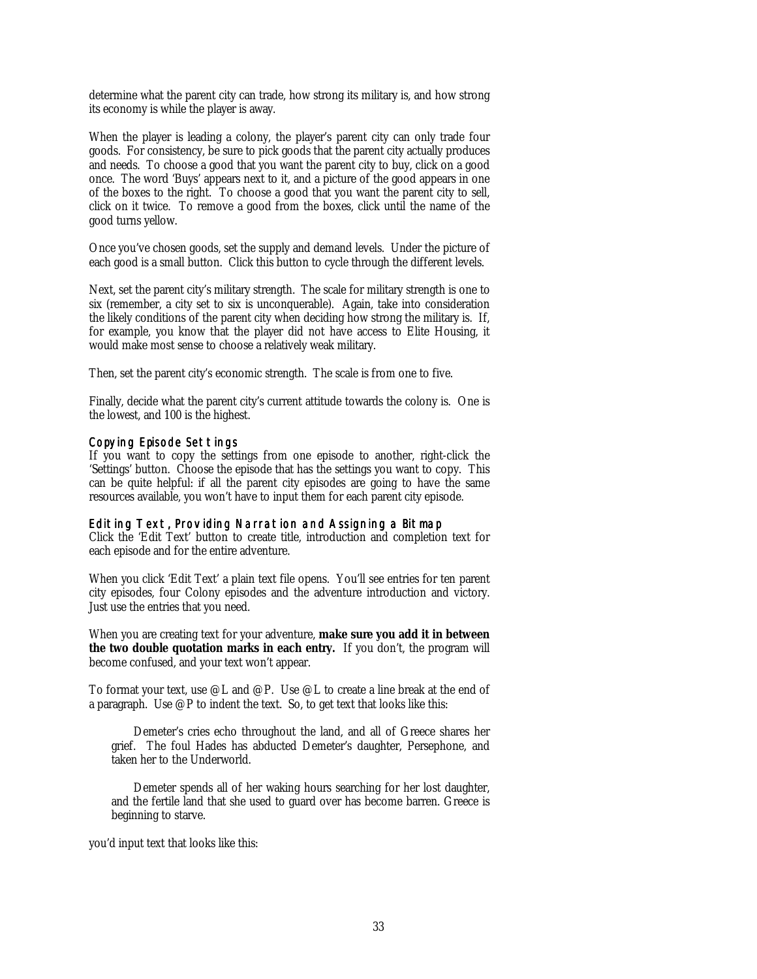determine what the parent city can trade, how strong its military is, and how strong its economy is while the player is away.

When the player is leading a colony, the player's parent city can only trade four goods. For consistency, be sure to pick goods that the parent city actually produces and needs. To choose a good that you want the parent city to buy, click on a good once. The word 'Buys' appears next to it, and a picture of the good appears in one of the boxes to the right. To choose a good that you want the parent city to sell, click on it twice. To remove a good from the boxes, click until the name of the good turns yellow.

Once you've chosen goods, set the supply and demand levels. Under the picture of each good is a small button. Click this button to cycle through the different levels.

Next, set the parent city's military strength. The scale for military strength is one to six (remember, a city set to six is unconquerable). Again, take into consideration the likely conditions of the parent city when deciding how strong the military is. If, for example, you know that the player did not have access to Elite Housing, it would make most sense to choose a relatively weak military.

Then, set the parent city's economic strength. The scale is from one to five.

Finally, decide what the parent city's current attitude towards the colony is. One is the lowest, and 100 is the highest.

## Copying Episode Settings

If you want to copy the settings from one episode to another, right-click the 'Settings' button. Choose the episode that has the settings you want to copy. This can be quite helpful: if all the parent city episodes are going to have the same resources available, you won't have to input them for each parent city episode.

## Editing Text, Providing Narration and Assigning a Bitmap

Click the 'Edit Text' button to create title, introduction and completion text for each episode and for the entire adventure.

When you click 'Edit Text' a plain text file opens. You'll see entries for ten parent city episodes, four Colony episodes and the adventure introduction and victory. Just use the entries that you need.

When you are creating text for your adventure, **make sure you add it in between the two double quotation marks in each entry.** If you don't, the program will become confused, and your text won't appear.

To format your text, use @L and @P. Use @L to create a line break at the end of a paragraph. Use @P to indent the text. So, to get text that looks like this:

Demeter's cries echo throughout the land, and all of Greece shares her grief. The foul Hades has abducted Demeter's daughter, Persephone, and taken her to the Underworld.

Demeter spends all of her waking hours searching for her lost daughter, and the fertile land that she used to guard over has become barren. Greece is beginning to starve.

you'd input text that looks like this: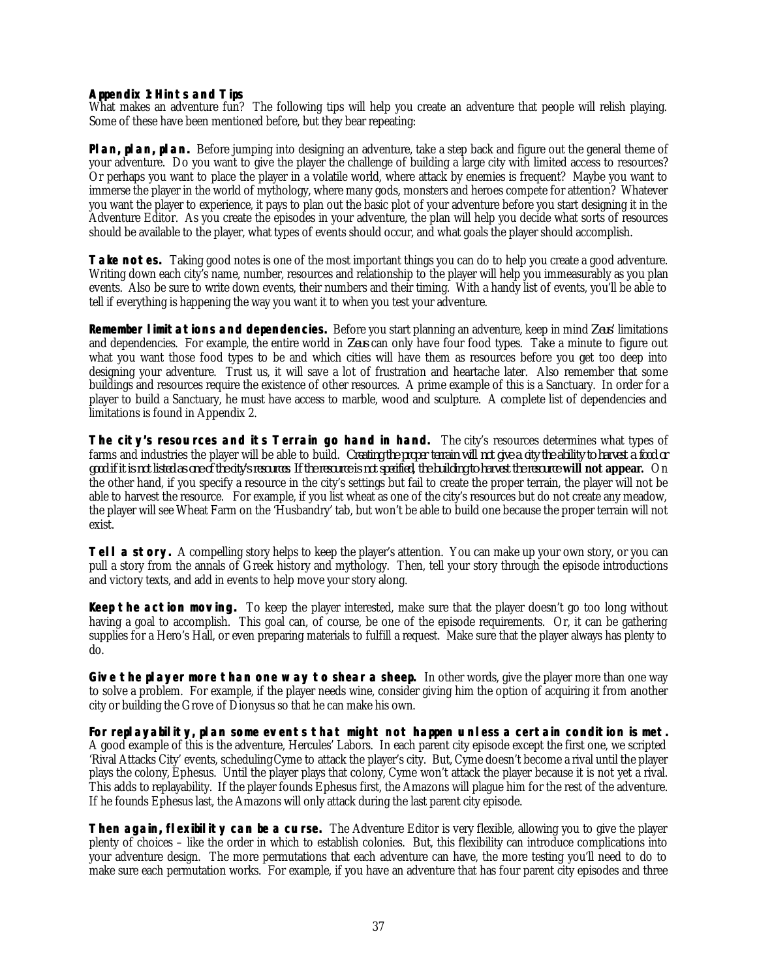#### <span id="page-36-0"></span>**Appendix 1: Hints and Tips**

What makes an adventure fun? The following tips will help you create an adventure that people will relish playing. Some of these have been mentioned before, but they bear repeating:

**Plan, plan, plan.** Before jumping into designing an adventure, take a step back and figure out the general theme of your adventure. Do you want to give the player the challenge of building a large city with limited access to resources? Or perhaps you want to place the player in a volatile world, where attack by enemies is frequent? Maybe you want to immerse the player in the world of mythology, where many gods, monsters and heroes compete for attention? Whatever you want the player to experience, it pays to plan out the basic plot of your adventure before you start designing it in the Adventure Editor. As you create the episodes in your adventure, the plan will help you decide what sorts of resources should be available to the player, what types of events should occur, and what goals the player should accomplish.

**Take notes.** Taking good notes is one of the most important things you can do to help you create a good adventure. Writing down each city's name, number, resources and relationship to the player will help you immeasurably as you plan events. Also be sure to write down events, their numbers and their timing. With a handy list of events, you'll be able to tell if everything is happening the way you want it to when you test your adventure.

**Remember limitations and dependencies.** Before you start planning an adventure, keep in mind *Zeus'* limitations and dependencies. For example, the entire world in *Zeus* can only have four food types. Take a minute to figure out what you want those food types to be and which cities will have them as resources before you get too deep into designing your adventure. Trust us, it will save a lot of frustration and heartache later. Also remember that some buildings and resources require the existence of other resources. A prime example of this is a Sanctuary. In order for a player to build a Sanctuary, he must have access to marble, wood and sculpture. A complete list of dependencies and limitations is found in Appendix 2.

**The city's resources and its Terrain go hand in hand.** The city's resources determines what types of farms and industries the player will be able to build. *Creating the proper terrain will not give a city the ability to harvest a food or good if it is not listed as one of the city's resources*. *If the resource is not specified, the building to harvest the resource will not appear***.** On the other hand, if you specify a resource in the city's settings but fail to create the proper terrain, the player will not be able to harvest the resource. For example, if you list wheat as one of the city's resources but do not create any meadow, the player will see Wheat Farm on the 'Husbandry' tab, but won't be able to build one because the proper terrain will not exist.

**Tell a story.** A compelling story helps to keep the player's attention. You can make up your own story, or you can pull a story from the annals of Greek history and mythology. Then, tell your story through the episode introductions and victory texts, and add in events to help move your story along.

**Keep the action moving.** To keep the player interested, make sure that the player doesn't go too long without having a goal to accomplish. This goal can, of course, be one of the episode requirements. Or, it can be gathering supplies for a Hero's Hall, or even preparing materials to fulfill a request. Make sure that the player always has plenty to do.

**Give the player more than one way to shear a sheep.** In other words, give the player more than one way to solve a problem. For example, if the player needs wine, consider giving him the option of acquiring it from another city or building the Grove of Dionysus so that he can make his own.

**For replayability, plan some events that might not happen unless a certain condition is met.** A good example of this is the adventure, Hercules' Labors. In each parent city episode except the first one, we scripted 'Rival Attacks City' events, scheduling Cyme to attack the player's city. But, Cyme doesn't become a rival until the player plays the colony, Ephesus. Until the player plays that colony, Cyme won't attack the player because it is not yet a rival. This adds to replayability. If the player founds Ephesus first, the Amazons will plague him for the rest of the adventure. If he founds Ephesus last, the Amazons will only attack during the last parent city episode.

**Then again, flexibility can be a curse.** The Adventure Editor is very flexible, allowing you to give the player plenty of choices – like the order in which to establish colonies. But, this flexibility can introduce complications into your adventure design. The more permutations that each adventure can have, the more testing you'll need to do to make sure each permutation works. For example, if you have an adventure that has four parent city episodes and three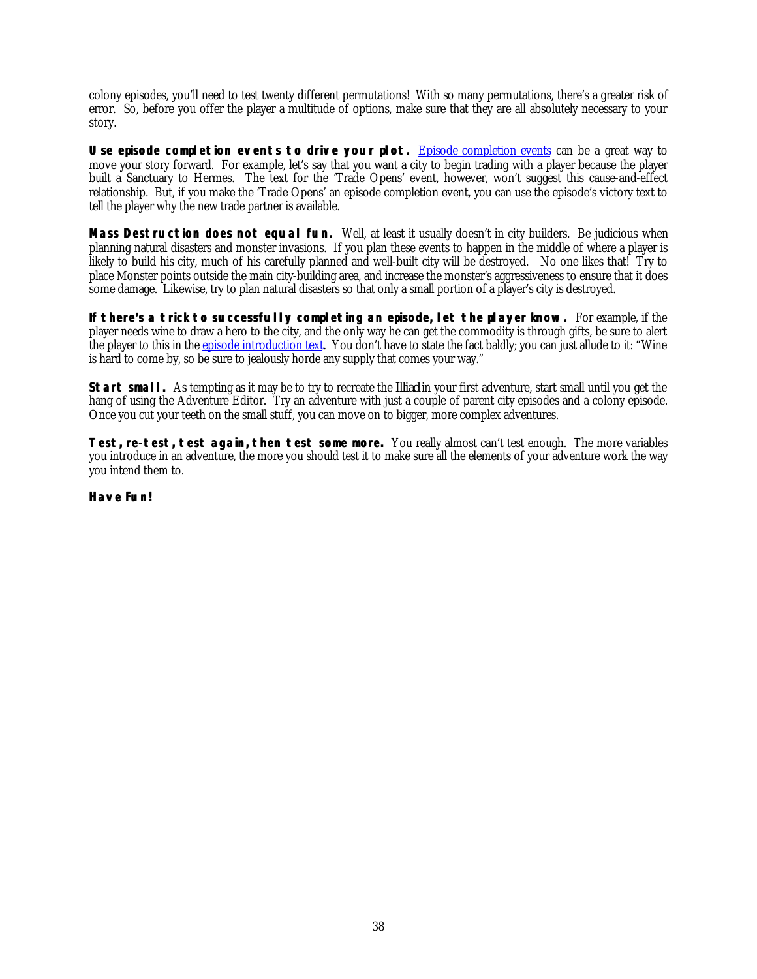colony episodes, you'll need to test twenty different permutations! With so many permutations, there's a greater risk of error. So, before you offer the player a multitude of options, make sure that they are all absolutely necessary to your story.

**Use episode completion events to drive your plot.** Episode completion events can be a great way to move your story forward. For example, let's say that you want a city to begin trading with a player because the player built a Sanctuary to Hermes. The text for the 'Trade Opens' event, however, won't suggest this cause-and-effect relationship. But, if you make the 'Trade Opens' an episode completion event, you can use the episode's victory text to tell the player why the new trade partner is available.

**Mass Destruction does not equal fun.** Well, at least it usually doesn't in city builders. Be judicious when planning natural disasters and monster invasions. If you plan these events to happen in the middle of where a player is likely to build his city, much of his carefully planned and well-built city will be destroyed. No one likes that! Try to place Monster points outside the main city-building area, and increase the monster's aggressiveness to ensure that it does some damage. Likewise, try to plan natural disasters so that only a small portion of a player's city is destroyed.

**If there's a trick to successfully completing an episode, let the player know.** For example, if the player needs wine to draw a hero to the city, and the only way he can get the commodity is through gifts, be sure to alert the player to this in the episode introduction text. You don't have to state the fact baldly; you can just allude to it: "Wine is hard to come by, so be sure to jealously horde any supply that comes your way."

**Start small.** As tempting as it may be to try to recreate the *Illiad* in your first adventure, start small until you get the hang of using the Adventure Editor. Try an adventure with just a couple of parent city episodes and a colony episode. Once you cut your teeth on the small stuff, you can move on to bigger, more complex adventures.

**Test, re-test, test again, then test some more.** You really almost can't test enough. The more variables you introduce in an adventure, the more you should test it to make sure all the elements of your adventure work the way you intend them to.

## **Have Fun!**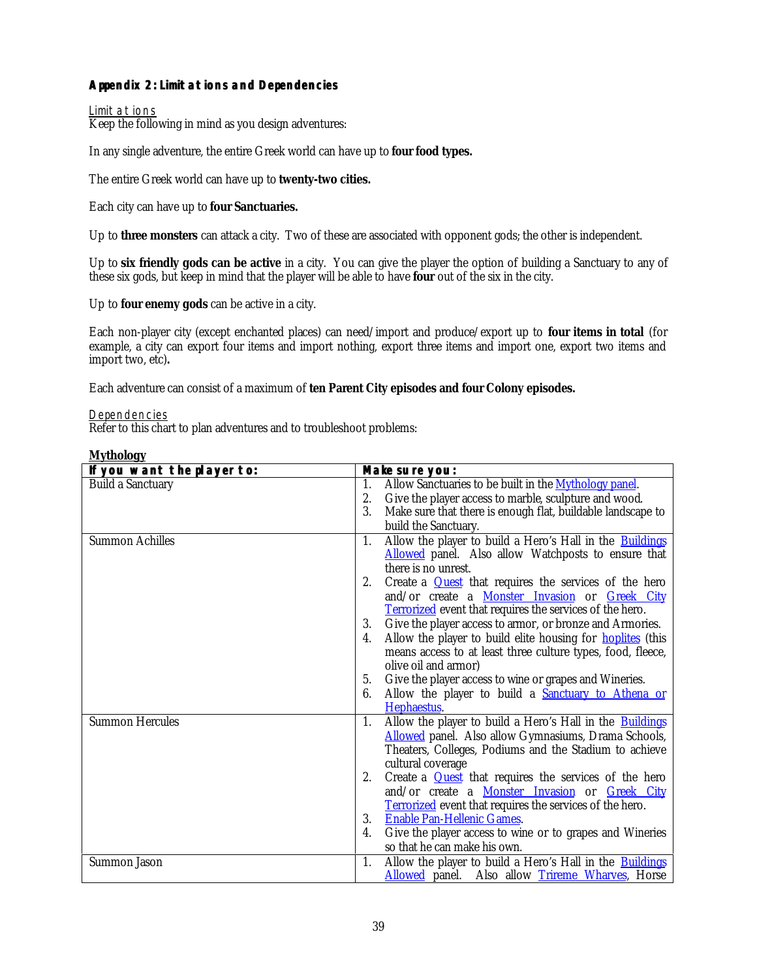# <span id="page-38-0"></span>**Appendix 2: Limitations and Dependencies**

## Limitations

Keep the following in mind as you design adventures:

In any single adventure, the entire Greek world can have up to **four food types.**

The entire Greek world can have up to **twenty-two cities.**

Each city can have up to **four Sanctuaries.**

Up to **three monsters** can attack a city. Two of these are associated with opponent gods; the other is independent.

Up to **six friendly gods can be active** in a city. You can give the player the option of building a Sanctuary to any of these six gods, but keep in mind that the player will be able to have **four** out of the six in the city.

Up to **four enemy gods** can be active in a city.

Each non-player city (except enchanted places) can need/import and produce/export up to **four items in total** (for example, a city can export four items and import nothing, export three items and import one, export two items and import two, etc)**.**

Each adventure can consist of a maximum of **ten Parent City episodes and four Colony episodes.**

#### Dependencies

Refer to this chart to plan adventures and to troubleshoot problems:

| -o≁                        |    |                                                                    |
|----------------------------|----|--------------------------------------------------------------------|
| If you want the player to: |    | Make sure you:                                                     |
| <b>Build a Sanctuary</b>   | 1. | Allow Sanctuaries to be built in the Mythology panel.              |
|                            | 2. | Give the player access to marble, sculpture and wood.              |
|                            | 3. | Make sure that there is enough flat, buildable landscape to        |
|                            |    | build the Sanctuary.                                               |
| <b>Summon Achilles</b>     | 1. | Allow the player to build a Hero's Hall in the <b>Buildings</b>    |
|                            |    | <b>Allowed</b> panel. Also allow Watchposts to ensure that         |
|                            |    | there is no unrest.                                                |
|                            | 2. | Create a <b>Quest</b> that requires the services of the hero       |
|                            |    | and/or create a <b>Monster Invasion</b> or <i>Greek City</i>       |
|                            |    | <b>Terrorized</b> event that requires the services of the hero.    |
|                            | 3. | Give the player access to armor, or bronze and Armories.           |
|                            | 4. | Allow the player to build elite housing for <b>hoplities</b> (this |
|                            |    | means access to at least three culture types, food, fleece,        |
|                            |    | olive oil and armor)                                               |
|                            | 5. | Give the player access to wine or grapes and Wineries.             |
|                            | 6. | Allow the player to build a <b>Sanctuary to Athena or</b>          |
|                            |    | Hephaestus.                                                        |
| <b>Summon Hercules</b>     | 1. | Allow the player to build a Hero's Hall in the <b>Buildings</b>    |
|                            |    | <b>Allowed</b> panel. Also allow Gymnasiums, Drama Schools,        |
|                            |    | Theaters, Colleges, Podiums and the Stadium to achieve             |
|                            |    | cultural coverage                                                  |
|                            | 2. | Create a <b>Quest</b> that requires the services of the hero       |
|                            |    | and/or create a <b>Monster Invasion</b> or <i>Greek City</i>       |
|                            |    | <b>Terrorized</b> event that requires the services of the hero.    |
|                            | 3. | <b>Enable Pan-Hellenic Games.</b>                                  |
|                            | 4. | Give the player access to wine or to grapes and Wineries           |
|                            |    | so that he can make his own.                                       |
| Summon Jason               | 1. | Allow the player to build a Hero's Hall in the <b>Buildings</b>    |
|                            |    | Allowed panel. Also allow Trireme Wharves, Horse                   |

#### **Mythology**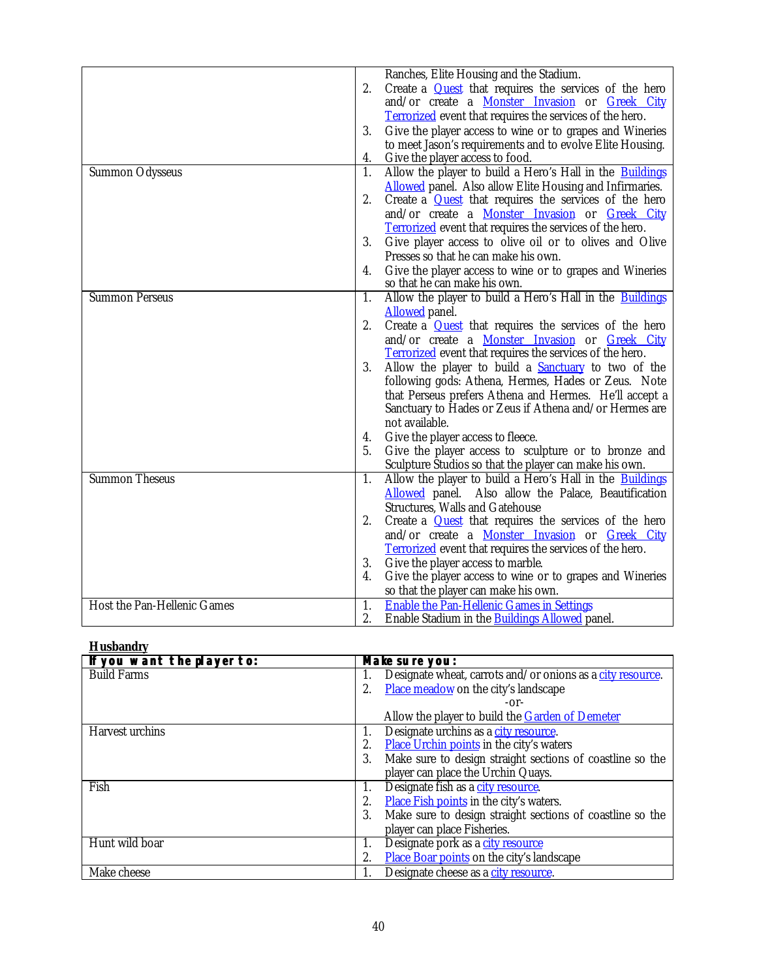|                             | 2. | Ranches, Elite Housing and the Stadium.<br>Create a <b>Quest</b> that requires the services of the hero<br>and/or create a <b>Monster Invasion</b> or <i>Greek City</i><br><b>Terrorized</b> event that requires the services of the hero. |
|-----------------------------|----|--------------------------------------------------------------------------------------------------------------------------------------------------------------------------------------------------------------------------------------------|
|                             | 3. | Give the player access to wine or to grapes and Wineries                                                                                                                                                                                   |
|                             |    | to meet Jason's requirements and to evolve Elite Housing.                                                                                                                                                                                  |
|                             | 4. | Give the player access to food.                                                                                                                                                                                                            |
| <b>Summon Odysseus</b>      | 1. | Allow the player to build a Hero's Hall in the Buildings<br><b>Allowed</b> panel. Also allow Elite Housing and Infirmaries.                                                                                                                |
|                             | 2. | Create a <b>Quest</b> that requires the services of the hero                                                                                                                                                                               |
|                             |    | and/or create a <b>Monster Invasion</b> or Greek City                                                                                                                                                                                      |
|                             |    | <b>Terrorized</b> event that requires the services of the hero.                                                                                                                                                                            |
|                             | 3. | Give player access to olive oil or to olives and Olive                                                                                                                                                                                     |
|                             |    | Presses so that he can make his own.                                                                                                                                                                                                       |
|                             | 4. | Give the player access to wine or to grapes and Wineries                                                                                                                                                                                   |
|                             |    | so that he can make his own.                                                                                                                                                                                                               |
| <b>Summon Perseus</b>       | 1. | Allow the player to build a Hero's Hall in the Buildings                                                                                                                                                                                   |
|                             |    | <b>Allowed</b> panel.                                                                                                                                                                                                                      |
|                             | 2. | Create a <b>Quest</b> that requires the services of the hero                                                                                                                                                                               |
|                             |    | and/or create a <b>Monster Invasion</b> or <b>Greek City</b>                                                                                                                                                                               |
|                             |    | Terrorized event that requires the services of the hero.                                                                                                                                                                                   |
|                             | 3. | Allow the player to build a <b>Sanctuary</b> to two of the<br>following gods: Athena, Hermes, Hades or Zeus. Note                                                                                                                          |
|                             |    | that Perseus prefers Athena and Hermes. He'll accept a                                                                                                                                                                                     |
|                             |    | Sanctuary to Hades or Zeus if Athena and/or Hermes are                                                                                                                                                                                     |
|                             |    | not available.                                                                                                                                                                                                                             |
|                             | 4. | Give the player access to fleece.                                                                                                                                                                                                          |
|                             | 5. | Give the player access to sculpture or to bronze and                                                                                                                                                                                       |
|                             |    | Sculpture Studios so that the player can make his own.                                                                                                                                                                                     |
| <b>Summon Theseus</b>       | 1. | Allow the player to build a Hero's Hall in the <b>Buildings</b>                                                                                                                                                                            |
|                             |    | Allowed panel. Also allow the Palace, Beautification                                                                                                                                                                                       |
|                             |    | <b>Structures, Walls and Gatehouse</b>                                                                                                                                                                                                     |
|                             | 2. | Create a <b>Quest</b> that requires the services of the hero                                                                                                                                                                               |
|                             |    | and/or create a <b>Monster Invasion</b> or <b>Greek City</b>                                                                                                                                                                               |
|                             | 3. | <b>Terrorized</b> event that requires the services of the hero.<br>Give the player access to marble.                                                                                                                                       |
|                             | 4. | Give the player access to wine or to grapes and Wineries                                                                                                                                                                                   |
|                             |    | so that the player can make his own.                                                                                                                                                                                                       |
| Host the Pan-Hellenic Games | 1. | <b>Enable the Pan-Hellenic Games in Settings</b>                                                                                                                                                                                           |
|                             | 2. | Enable Stadium in the <b>Buildings Allowed</b> panel.                                                                                                                                                                                      |

# **Husbandry**

| If you want the player to: | Make sure you:                                                   |
|----------------------------|------------------------------------------------------------------|
| <b>Build Farms</b>         | Designate wheat, carrots and/or onions as a city resource.<br>1. |
|                            | Place meadow on the city's landscape<br>2.                       |
|                            | $-0r-$                                                           |
|                            | Allow the player to build the Garden of Demeter                  |
| Harvest urchins            | Designate urchins as a city resource.<br>1.                      |
|                            | Place Urchin points in the city's waters<br>2.                   |
|                            | Make sure to design straight sections of coastline so the<br>3.  |
|                            | player can place the Urchin Quays.                               |
| Fish                       | Designate fish as a city resource.<br>1.                         |
|                            | Place Fish points in the city's waters.<br>2.                    |
|                            | Make sure to design straight sections of coastline so the<br>3.  |
|                            | player can place Fisheries.                                      |
| Hunt wild boar             | Designate pork as a city resource<br>1.                          |
|                            | Place Boar points on the city's landscape                        |
| Make cheese                | Designate cheese as a city resource.                             |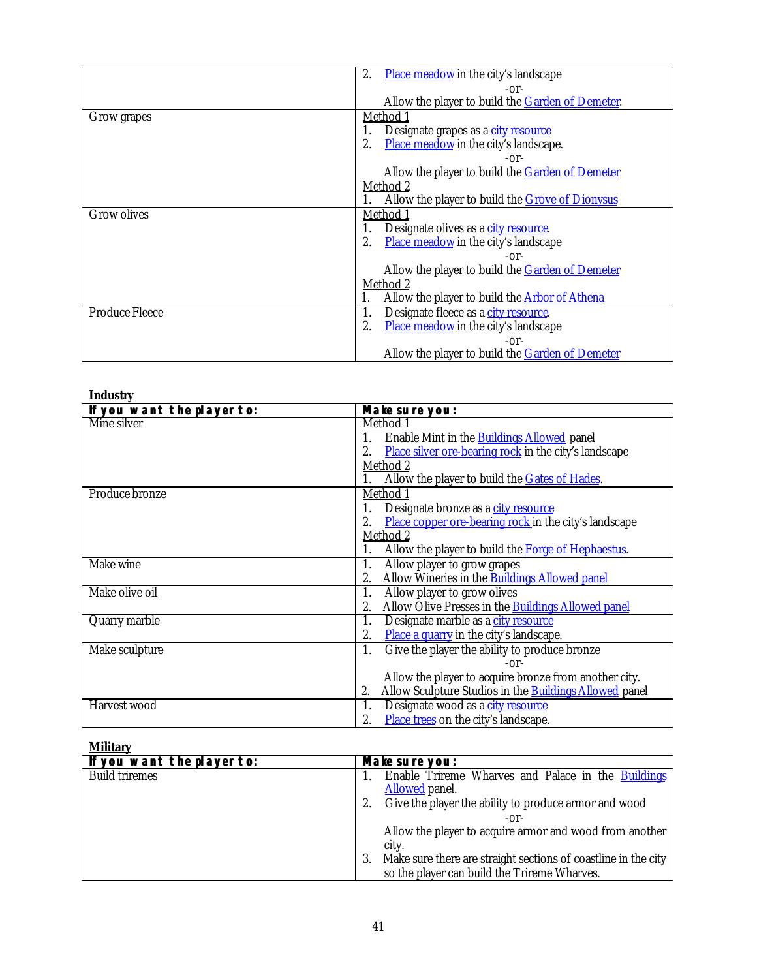<span id="page-40-0"></span>

|                       | <b>Place meadow</b> in the city's landscape<br>2.        |
|-----------------------|----------------------------------------------------------|
|                       | $-0r-$                                                   |
|                       | Allow the player to build the <b>Garden of Demeter</b> . |
| Grow grapes           | Method 1                                                 |
|                       | Designate grapes as a city resource                      |
|                       | Place meadow in the city's landscape.<br>2.              |
|                       | $-0r-$                                                   |
|                       | Allow the player to build the Garden of Demeter          |
|                       | Method 2                                                 |
|                       | Allow the player to build the <b>Grove of Dionysus</b>   |
| <b>Grow olives</b>    | Method 1                                                 |
|                       | Designate olives as a city resource.<br>1.               |
|                       | Place meadow in the city's landscape<br>2.               |
|                       | $-0r-$                                                   |
|                       | Allow the player to build the Garden of Demeter          |
|                       | Method 2                                                 |
|                       | Allow the player to build the <b>Arbor of Athena</b>     |
| <b>Produce Fleece</b> | Designate fleece as a <u>city resource</u> .<br>1.       |
|                       | <b>Place meadow</b> in the city's landscape<br>2.        |
|                       | $-0r-$                                                   |
|                       | Allow the player to build the <b>Garden of Demeter</b>   |

| <b>Industry</b>            |                                                                     |
|----------------------------|---------------------------------------------------------------------|
| If you want the player to: | Make sure you:                                                      |
| Mine silver                | Method 1                                                            |
|                            | Enable Mint in the <b>Buildings Allowed</b> panel<br>1.             |
|                            | Place silver ore-bearing rock in the city's landscape<br>2.         |
|                            | Method 2                                                            |
|                            | Allow the player to build the Gates of Hades.                       |
| Produce bronze             | Method 1                                                            |
|                            | Designate bronze as a city resource<br>1.                           |
|                            | Place copper ore-bearing rock in the city's landscape<br>2.         |
|                            | Method 2                                                            |
|                            | Allow the player to build the Forge of Hephaestus.<br>1.            |
| Make wine                  | Allow player to grow grapes<br>1.                                   |
|                            | Allow Wineries in the <b>Buildings Allowed panel</b><br>2.          |
| Make olive oil             | Allow player to grow olives<br>1.                                   |
|                            | Allow Olive Presses in the <b>Buildings Allowed panel</b><br>2.     |
| Quarry marble              | Designate marble as a city resource<br>1.                           |
|                            | Place a quarry in the city's landscape.<br>2.                       |
| Make sculpture             | Give the player the ability to produce bronze<br>1.                 |
|                            | $-0r-$                                                              |
|                            | Allow the player to acquire bronze from another city.               |
|                            | Allow Sculpture Studios in the <b>Buildings Allowed</b> panel<br>2. |
| Harvest wood               | Designate wood as a city resource<br>1.                             |
|                            | Place trees on the city's landscape.<br>2.                          |

# **Military**

| ---------                  |                                                                      |
|----------------------------|----------------------------------------------------------------------|
| If you want the player to: | Make sure you:                                                       |
| <b>Build triremes</b>      | Enable Trireme Wharves and Palace in the Buildings                   |
|                            | <b>Allowed</b> panel.                                                |
|                            | Give the player the ability to produce armor and wood                |
|                            | -or-                                                                 |
|                            | Allow the player to acquire armor and wood from another              |
|                            | city.                                                                |
|                            | Make sure there are straight sections of coastline in the city<br>3. |
|                            | so the player can build the Trireme Wharves.                         |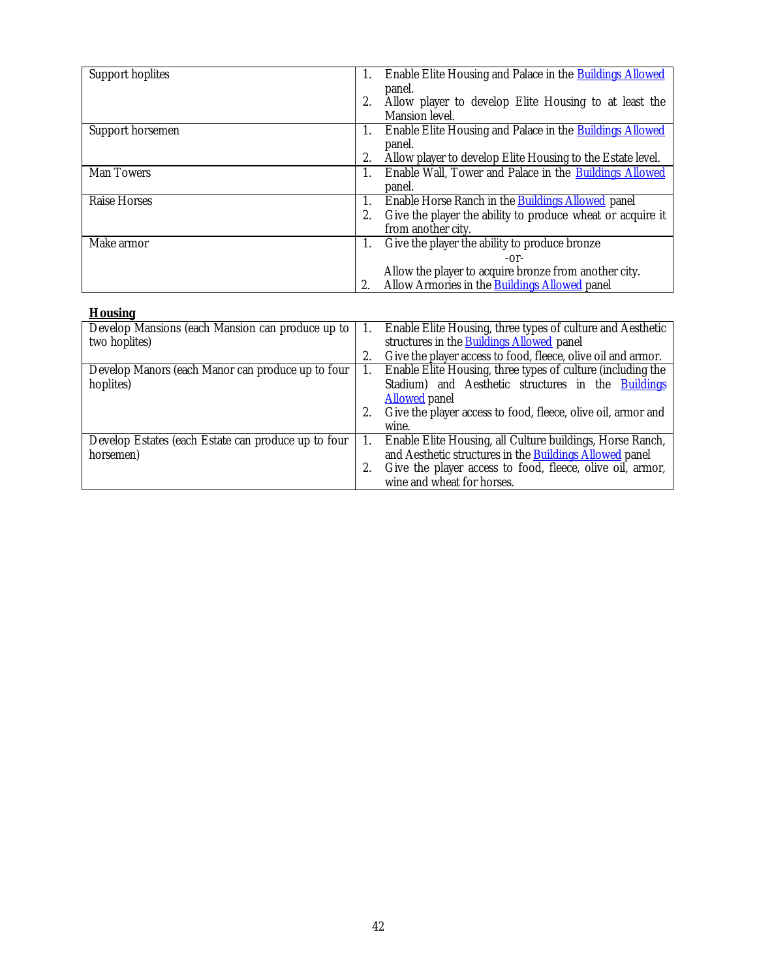<span id="page-41-0"></span>

| Support hoplites  | Enable Elite Housing and Palace in the Buildings Allowed         |
|-------------------|------------------------------------------------------------------|
|                   | 1.                                                               |
|                   | panel.                                                           |
|                   | Allow player to develop Elite Housing to at least the<br>2.      |
|                   | Mansion level.                                                   |
| Support horsemen  | Enable Elite Housing and Palace in the Buildings Allowed<br>1.   |
|                   | panel.                                                           |
|                   | Allow player to develop Elite Housing to the Estate level.<br>2. |
| <b>Man Towers</b> | Enable Wall, Tower and Palace in the Buildings Allowed<br>1.     |
|                   | panel.                                                           |
| Raise Horses      | Enable Horse Ranch in the <b>Buildings Allowed</b> panel<br>1.   |
|                   | Give the player the ability to produce wheat or acquire it<br>2. |
|                   | from another city.                                               |
| Make armor        | Give the player the ability to produce bronze<br>1.              |
|                   | $-0r-$                                                           |
|                   | Allow the player to acquire bronze from another city.            |
|                   | Allow Armories in the Buildings Allowed panel<br>2.              |
|                   |                                                                  |

| <b>HOUSING</b>                                      |    |                                                                |
|-----------------------------------------------------|----|----------------------------------------------------------------|
| Develop Mansions (each Mansion can produce up to    | 1. | Enable Elite Housing, three types of culture and Aesthetic     |
| two hoplites)                                       |    | structures in the <b>Buildings Allowed</b> panel               |
|                                                     |    | Give the player access to food, fleece, olive oil and armor.   |
| Develop Manors (each Manor can produce up to four   |    | Enable Elite Housing, three types of culture (including the    |
| hoplites)                                           |    | Stadium) and Aesthetic structures in the Buildings             |
|                                                     |    | <b>Allowed</b> panel                                           |
|                                                     |    | Give the player access to food, fleece, olive oil, armor and   |
|                                                     |    | wine.                                                          |
| Develop Estates (each Estate can produce up to four |    | Enable Elite Housing, all Culture buildings, Horse Ranch,      |
| horsemen)                                           |    | and Aesthetic structures in the <b>Buildings Allowed</b> panel |
|                                                     |    | Give the player access to food, fleece, olive oil, armor,      |
|                                                     |    | wine and wheat for horses.                                     |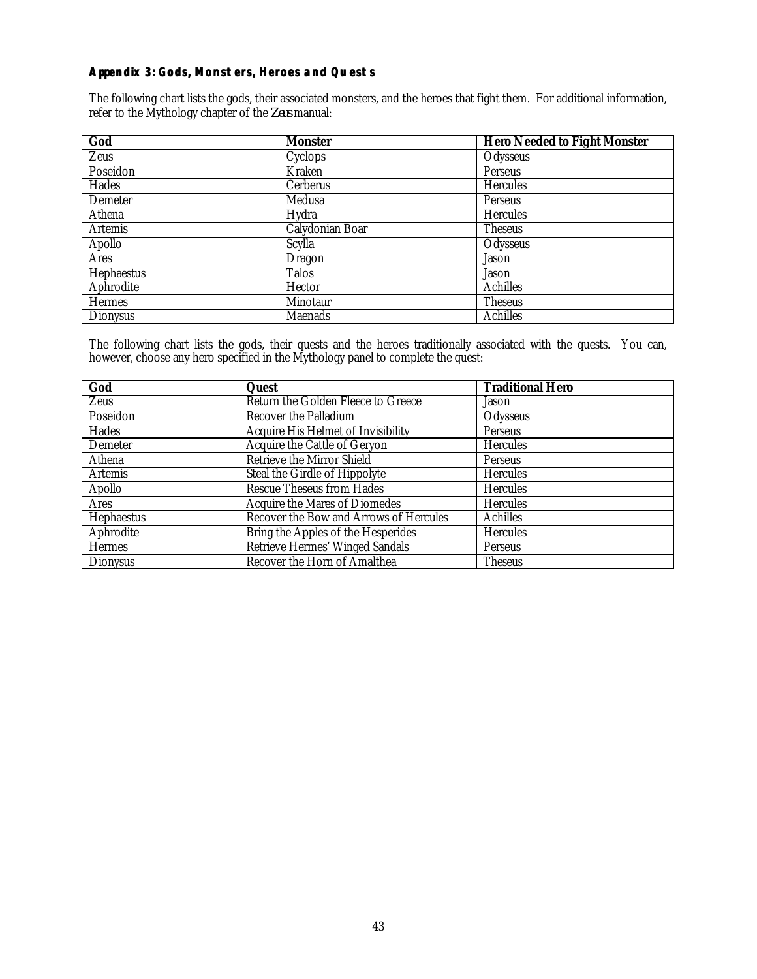# <span id="page-42-0"></span>**Appendix 3: Gods, Monsters, Heroes and Quests**

The following chart lists the gods, their associated monsters, and the heroes that fight them. For additional information, refer to the Mythology chapter of the *Zeus* manual:

| God             | <b>Monster</b>  | <b>Hero Needed to Fight Monster</b> |
|-----------------|-----------------|-------------------------------------|
| Zeus            | Cyclops         | Odysseus                            |
| Poseidon        | Kraken          | Perseus                             |
| Hades           | Cerberus        | <b>Hercules</b>                     |
| Demeter         | Medusa          | Perseus                             |
| Athena          | Hydra           | <b>Hercules</b>                     |
| <b>Artemis</b>  | Calydonian Boar | <b>Theseus</b>                      |
| Apollo          | <b>Scylla</b>   | Odysseus                            |
| <b>Ares</b>     | Dragon          | Jason                               |
| Hephaestus      | <b>Talos</b>    | Jason                               |
| Aphrodite       | Hector          | <b>Achilles</b>                     |
| <b>Hermes</b>   | Minotaur        | <b>Theseus</b>                      |
| <b>Dionysus</b> | <b>Maenads</b>  | <b>Achilles</b>                     |

The following chart lists the gods, their quests and the heroes traditionally associated with the quests. You can, however, choose any hero specified in the Mythology panel to complete the quest:

| God             | Quest                                     | <b>Traditional Hero</b> |
|-----------------|-------------------------------------------|-------------------------|
| Zeus            | Return the Golden Fleece to Greece        | Jason                   |
| Poseidon        | <b>Recover the Palladium</b>              | Odysseus                |
| Hades           | <b>Acquire His Helmet of Invisibility</b> | Perseus                 |
| Demeter         | Acquire the Cattle of Geryon              | Hercules                |
| Athena          | Retrieve the Mirror Shield                | Perseus                 |
| <b>Artemis</b>  | Steal the Girdle of Hippolyte             | Hercules                |
| Apollo          | <b>Rescue Theseus from Hades</b>          | <b>Hercules</b>         |
| <b>Ares</b>     | <b>Acquire the Mares of Diomedes</b>      | <b>Hercules</b>         |
| Hephaestus      | Recover the Bow and Arrows of Hercules    | <b>Achilles</b>         |
| Aphrodite       | Bring the Apples of the Hesperides        | <b>Hercules</b>         |
| <b>Hermes</b>   | Retrieve Hermes' Winged Sandals           | Perseus                 |
| <b>Dionysus</b> | Recover the Horn of Amalthea              | <b>Theseus</b>          |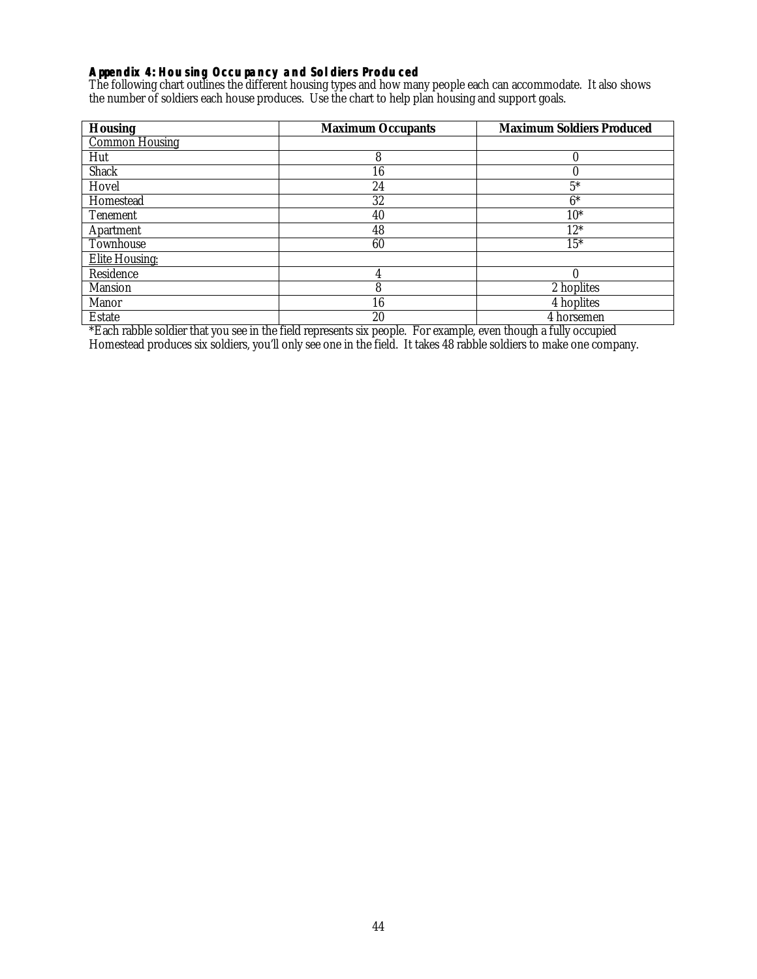## <span id="page-43-0"></span>**Appendix 4: Housing Occupancy and Soldiers Produced**

The following chart outlines the different housing types and how many people each can accommodate. It also shows the number of soldiers each house produces. Use the chart to help plan housing and support goals.

| <b>Housing</b>        | <b>Maximum Occupants</b> | <b>Maximum Soldiers Produced</b> |
|-----------------------|--------------------------|----------------------------------|
| <b>Common Housing</b> |                          |                                  |
| Hut                   | 8                        | $\Omega$                         |
| <b>Shack</b>          | 16                       |                                  |
| Hovel                 | 24                       | $5*$                             |
| Homestead             | 32                       | $6*$                             |
| <b>Tenement</b>       | 40                       | $10*$                            |
| Apartment             | 48                       | $12*$                            |
| Townhouse             | 60                       | $15*$                            |
| <b>Elite Housing:</b> |                          |                                  |
| Residence             |                          | $\sqrt{ }$                       |
| <b>Mansion</b>        | 8                        | 2 hoplites                       |
| Manor                 | 16                       | 4 hoplites                       |
| <b>Estate</b>         | 20                       | 4 horsemen                       |

\*Each rabble soldier that you see in the field represents six people. For example, even though a fully occupied Homestead produces six soldiers, you'll only see one in the field. It takes 48 rabble soldiers to make one company.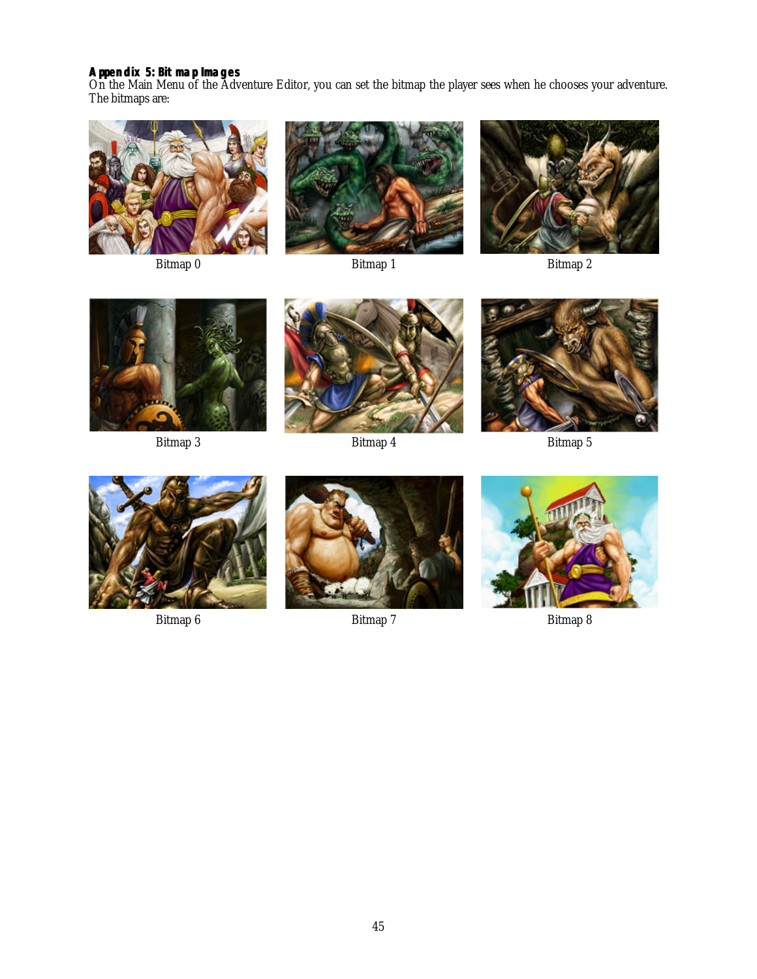# <span id="page-44-0"></span>**Appendix 5: Bitmap Images**

On the Main Menu of the Adventure Editor, you can set the bitmap the player sees when he chooses your adventure. The bitmaps are:









Bitmap 3 Bitmap 4 Bitmap 5









Bitmap 6 Bitmap 7 Bitmap 8 Bitmap 8